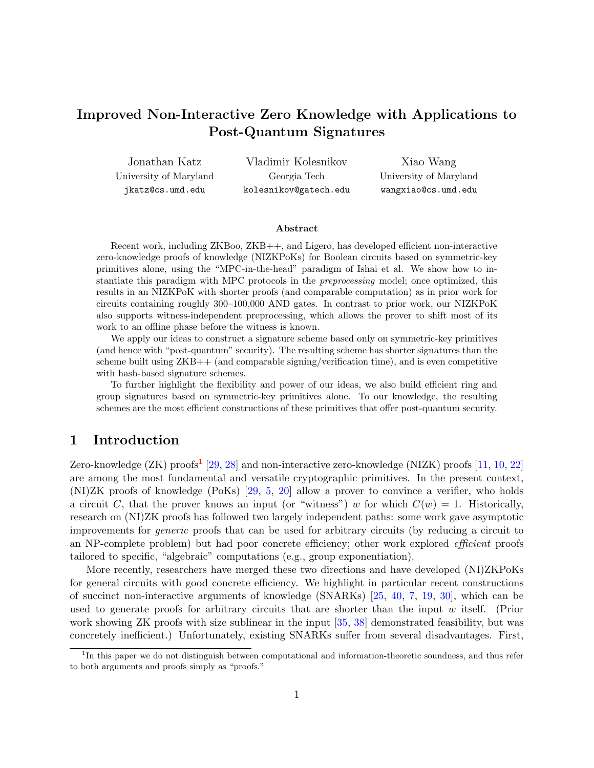# Improved Non-Interactive Zero Knowledge with Applications to Post-Quantum Signatures

| Jonathan Katz          | Vladimir Kolesnikov   | Xiao Wang              |
|------------------------|-----------------------|------------------------|
| University of Maryland | Georgia Tech          | University of Maryland |
| ikatz@cs.umd.edu       | kolesnikov@gatech.edu | wangxiao@cs.umd.edu    |

#### Abstract

Recent work, including ZKBoo, ZKB++, and Ligero, has developed efficient non-interactive zero-knowledge proofs of knowledge (NIZKPoKs) for Boolean circuits based on symmetric-key primitives alone, using the "MPC-in-the-head" paradigm of Ishai et al. We show how to instantiate this paradigm with MPC protocols in the preprocessing model; once optimized, this results in an NIZKPoK with shorter proofs (and comparable computation) as in prior work for circuits containing roughly 300–100,000 AND gates. In contrast to prior work, our NIZKPoK also supports witness-independent preprocessing, which allows the prover to shift most of its work to an offline phase before the witness is known.

We apply our ideas to construct a signature scheme based only on symmetric-key primitives (and hence with "post-quantum" security). The resulting scheme has shorter signatures than the scheme built using ZKB++ (and comparable signing/verification time), and is even competitive with hash-based signature schemes.

To further highlight the flexibility and power of our ideas, we also build efficient ring and group signatures based on symmetric-key primitives alone. To our knowledge, the resulting schemes are the most efficient constructions of these primitives that offer post-quantum security.

## 1 Introduction

Zero-knowledge (ZK) proofs<sup>[1](#page-0-0)</sup> [\[29,](#page-23-0) [28\]](#page-23-1) and non-interactive zero-knowledge (NIZK) proofs [\[11,](#page-22-0) [10,](#page-22-1) [22\]](#page-23-2) are among the most fundamental and versatile cryptographic primitives. In the present context, (NI)ZK proofs of knowledge (PoKs) [\[29,](#page-23-0) [5,](#page-21-0) [20\]](#page-23-3) allow a prover to convince a verifier, who holds a circuit C, that the prover knows an input (or "witness") w for which  $C(w) = 1$ . Historically, research on (NI)ZK proofs has followed two largely independent paths: some work gave asymptotic improvements for generic proofs that can be used for arbitrary circuits (by reducing a circuit to an NP-complete problem) but had poor concrete efficiency; other work explored efficient proofs tailored to specific, "algebraic" computations (e.g., group exponentiation).

More recently, researchers have merged these two directions and have developed (NI)ZKPoKs for general circuits with good concrete efficiency. We highlight in particular recent constructions of succinct non-interactive arguments of knowledge (SNARKs) [\[25,](#page-23-4) [40,](#page-24-0) [7,](#page-22-2) [19,](#page-23-5) [30\]](#page-24-1), which can be used to generate proofs for arbitrary circuits that are shorter than the input w itself. (Prior work showing ZK proofs with size sublinear in the input [\[35,](#page-24-2) [38\]](#page-24-3) demonstrated feasibility, but was concretely inefficient.) Unfortunately, existing SNARKs suffer from several disadvantages. First,

<span id="page-0-0"></span><sup>&</sup>lt;sup>1</sup>In this paper we do not distinguish between computational and information-theoretic soundness, and thus refer to both arguments and proofs simply as "proofs."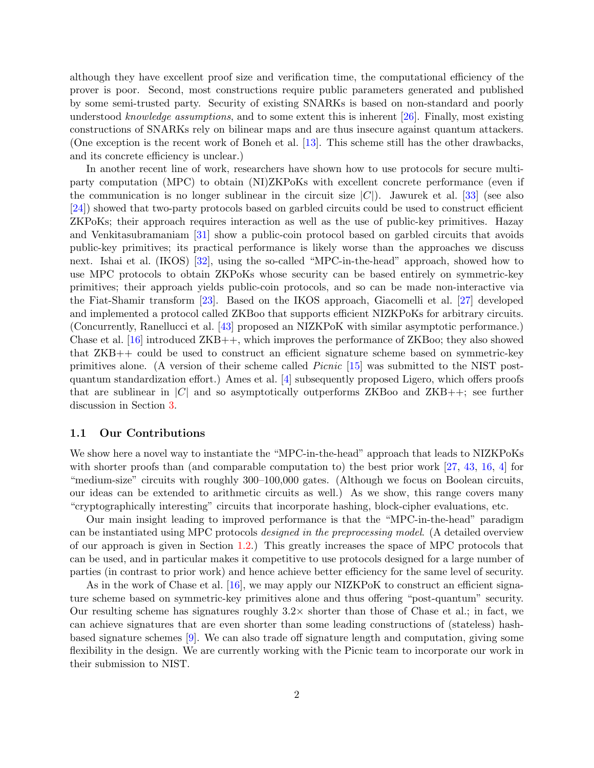although they have excellent proof size and verification time, the computational efficiency of the prover is poor. Second, most constructions require public parameters generated and published by some semi-trusted party. Security of existing SNARKs is based on non-standard and poorly understood knowledge assumptions, and to some extent this is inherent [\[26\]](#page-23-6). Finally, most existing constructions of SNARKs rely on bilinear maps and are thus insecure against quantum attackers. (One exception is the recent work of Boneh et al. [\[13\]](#page-22-3). This scheme still has the other drawbacks, and its concrete efficiency is unclear.)

In another recent line of work, researchers have shown how to use protocols for secure multiparty computation (MPC) to obtain (NI)ZKPoKs with excellent concrete performance (even if the communication is no longer sublinear in the circuit size  $|C|$ ). Jawurek et al. [\[33\]](#page-24-4) (see also [\[24\]](#page-23-7)) showed that two-party protocols based on garbled circuits could be used to construct efficient ZKPoKs; their approach requires interaction as well as the use of public-key primitives. Hazay and Venkitasubramaniam [\[31\]](#page-24-5) show a public-coin protocol based on garbled circuits that avoids public-key primitives; its practical performance is likely worse than the approaches we discuss next. Ishai et al. (IKOS) [\[32\]](#page-24-6), using the so-called "MPC-in-the-head" approach, showed how to use MPC protocols to obtain ZKPoKs whose security can be based entirely on symmetric-key primitives; their approach yields public-coin protocols, and so can be made non-interactive via the Fiat-Shamir transform [\[23\]](#page-23-8). Based on the IKOS approach, Giacomelli et al. [\[27\]](#page-23-9) developed and implemented a protocol called ZKBoo that supports efficient NIZKPoKs for arbitrary circuits. (Concurrently, Ranellucci et al. [\[43\]](#page-25-0) proposed an NIZKPoK with similar asymptotic performance.) Chase et al. [\[16\]](#page-22-4) introduced ZKB++, which improves the performance of ZKBoo; they also showed that ZKB++ could be used to construct an efficient signature scheme based on symmetric-key primitives alone. (A version of their scheme called Picnic [\[15\]](#page-22-5) was submitted to the NIST postquantum standardization effort.) Ames et al. [\[4\]](#page-21-1) subsequently proposed Ligero, which offers proofs that are sublinear in  $|C|$  and so asymptotically outperforms ZKBoo and ZKB++; see further discussion in Section [3.](#page-11-0)

#### 1.1 Our Contributions

We show here a novel way to instantiate the "MPC-in-the-head" approach that leads to NIZKPoKs with shorter proofs than (and comparable computation to) the best prior work [\[27,](#page-23-9) [43,](#page-25-0) [16,](#page-22-4) [4\]](#page-21-1) for "medium-size" circuits with roughly 300–100,000 gates. (Although we focus on Boolean circuits, our ideas can be extended to arithmetic circuits as well.) As we show, this range covers many "cryptographically interesting" circuits that incorporate hashing, block-cipher evaluations, etc.

Our main insight leading to improved performance is that the "MPC-in-the-head" paradigm can be instantiated using MPC protocols designed in the preprocessing model. (A detailed overview of our approach is given in Section [1.2.](#page-2-0)) This greatly increases the space of MPC protocols that can be used, and in particular makes it competitive to use protocols designed for a large number of parties (in contrast to prior work) and hence achieve better efficiency for the same level of security.

As in the work of Chase et al. [\[16\]](#page-22-4), we may apply our NIZKPoK to construct an efficient signature scheme based on symmetric-key primitives alone and thus offering "post-quantum" security. Our resulting scheme has signatures roughly  $3.2\times$  shorter than those of Chase et al.; in fact, we can achieve signatures that are even shorter than some leading constructions of (stateless) hashbased signature schemes [\[9\]](#page-22-6). We can also trade off signature length and computation, giving some flexibility in the design. We are currently working with the Picnic team to incorporate our work in their submission to NIST.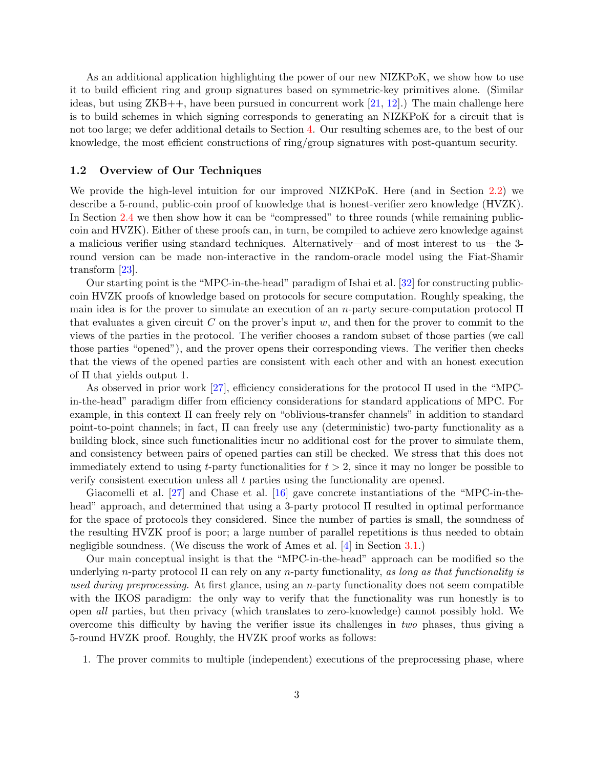As an additional application highlighting the power of our new NIZKPoK, we show how to use it to build efficient ring and group signatures based on symmetric-key primitives alone. (Similar ideas, but using  $ZKB++$ , have been pursued in concurrent work [\[21,](#page-23-10) [12\]](#page-22-7).) The main challenge here is to build schemes in which signing corresponds to generating an NIZKPoK for a circuit that is not too large; we defer additional details to Section [4.](#page-16-0) Our resulting schemes are, to the best of our knowledge, the most efficient constructions of ring/group signatures with post-quantum security.

#### <span id="page-2-0"></span>1.2 Overview of Our Techniques

We provide the high-level intuition for our improved NIZKPoK. Here (and in Section [2.2\)](#page-5-0) we describe a 5-round, public-coin proof of knowledge that is honest-verifier zero knowledge (HVZK). In Section [2.4](#page-11-1) we then show how it can be "compressed" to three rounds (while remaining publiccoin and HVZK). Either of these proofs can, in turn, be compiled to achieve zero knowledge against a malicious verifier using standard techniques. Alternatively—and of most interest to us—the 3 round version can be made non-interactive in the random-oracle model using the Fiat-Shamir transform [\[23\]](#page-23-8).

Our starting point is the "MPC-in-the-head" paradigm of Ishai et al. [\[32\]](#page-24-6) for constructing publiccoin HVZK proofs of knowledge based on protocols for secure computation. Roughly speaking, the main idea is for the prover to simulate an execution of an n-party secure-computation protocol  $\Pi$ that evaluates a given circuit  $C$  on the prover's input  $w$ , and then for the prover to commit to the views of the parties in the protocol. The verifier chooses a random subset of those parties (we call those parties "opened"), and the prover opens their corresponding views. The verifier then checks that the views of the opened parties are consistent with each other and with an honest execution of Π that yields output 1.

As observed in prior work [\[27\]](#page-23-9), efficiency considerations for the protocol  $\Pi$  used in the "MPCin-the-head" paradigm differ from efficiency considerations for standard applications of MPC. For example, in this context Π can freely rely on "oblivious-transfer channels" in addition to standard point-to-point channels; in fact, Π can freely use any (deterministic) two-party functionality as a building block, since such functionalities incur no additional cost for the prover to simulate them, and consistency between pairs of opened parties can still be checked. We stress that this does not immediately extend to using t-party functionalities for  $t > 2$ , since it may no longer be possible to verify consistent execution unless all t parties using the functionality are opened.

Giacomelli et al. [\[27\]](#page-23-9) and Chase et al. [\[16\]](#page-22-4) gave concrete instantiations of the "MPC-in-thehead" approach, and determined that using a 3-party protocol Π resulted in optimal performance for the space of protocols they considered. Since the number of parties is small, the soundness of the resulting HVZK proof is poor; a large number of parallel repetitions is thus needed to obtain negligible soundness. (We discuss the work of Ames et al. [\[4\]](#page-21-1) in Section [3.1.](#page-11-2))

Our main conceptual insight is that the "MPC-in-the-head" approach can be modified so the underlying n-party protocol  $\Pi$  can rely on any n-party functionality, as long as that functionality is used during preprocessing. At first glance, using an  $n$ -party functionality does not seem compatible with the IKOS paradigm: the only way to verify that the functionality was run honestly is to open all parties, but then privacy (which translates to zero-knowledge) cannot possibly hold. We overcome this difficulty by having the verifier issue its challenges in two phases, thus giving a 5-round HVZK proof. Roughly, the HVZK proof works as follows:

1. The prover commits to multiple (independent) executions of the preprocessing phase, where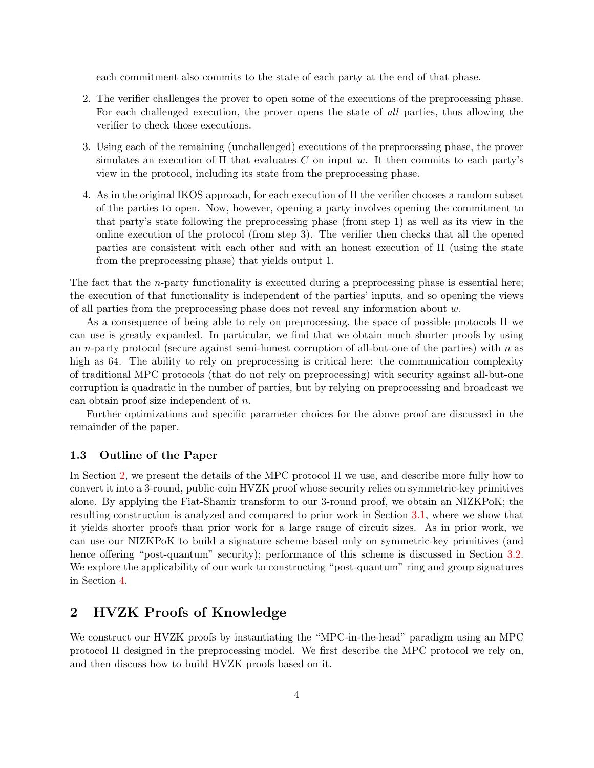each commitment also commits to the state of each party at the end of that phase.

- 2. The verifier challenges the prover to open some of the executions of the preprocessing phase. For each challenged execution, the prover opens the state of all parties, thus allowing the verifier to check those executions.
- 3. Using each of the remaining (unchallenged) executions of the preprocessing phase, the prover simulates an execution of  $\Pi$  that evaluates C on input w. It then commits to each party's view in the protocol, including its state from the preprocessing phase.
- 4. As in the original IKOS approach, for each execution of Π the verifier chooses a random subset of the parties to open. Now, however, opening a party involves opening the commitment to that party's state following the preprocessing phase (from step 1) as well as its view in the online execution of the protocol (from step 3). The verifier then checks that all the opened parties are consistent with each other and with an honest execution of  $\Pi$  (using the state from the preprocessing phase) that yields output 1.

The fact that the *n*-party functionality is executed during a preprocessing phase is essential here; the execution of that functionality is independent of the parties' inputs, and so opening the views of all parties from the preprocessing phase does not reveal any information about  $w$ .

As a consequence of being able to rely on preprocessing, the space of possible protocols Π we can use is greatly expanded. In particular, we find that we obtain much shorter proofs by using an n-party protocol (secure against semi-honest corruption of all-but-one of the parties) with n as high as 64. The ability to rely on preprocessing is critical here: the communication complexity of traditional MPC protocols (that do not rely on preprocessing) with security against all-but-one corruption is quadratic in the number of parties, but by relying on preprocessing and broadcast we can obtain proof size independent of n.

Further optimizations and specific parameter choices for the above proof are discussed in the remainder of the paper.

#### 1.3 Outline of the Paper

In Section [2,](#page-3-0) we present the details of the MPC protocol Π we use, and describe more fully how to convert it into a 3-round, public-coin HVZK proof whose security relies on symmetric-key primitives alone. By applying the Fiat-Shamir transform to our 3-round proof, we obtain an NIZKPoK; the resulting construction is analyzed and compared to prior work in Section [3.1,](#page-11-2) where we show that it yields shorter proofs than prior work for a large range of circuit sizes. As in prior work, we can use our NIZKPoK to build a signature scheme based only on symmetric-key primitives (and hence offering "post-quantum" security); performance of this scheme is discussed in Section [3.2.](#page-15-0) We explore the applicability of our work to constructing "post-quantum" ring and group signatures in Section [4.](#page-16-0)

## <span id="page-3-0"></span>2 HVZK Proofs of Knowledge

We construct our HVZK proofs by instantiating the "MPC-in-the-head" paradigm using an MPC protocol Π designed in the preprocessing model. We first describe the MPC protocol we rely on, and then discuss how to build HVZK proofs based on it.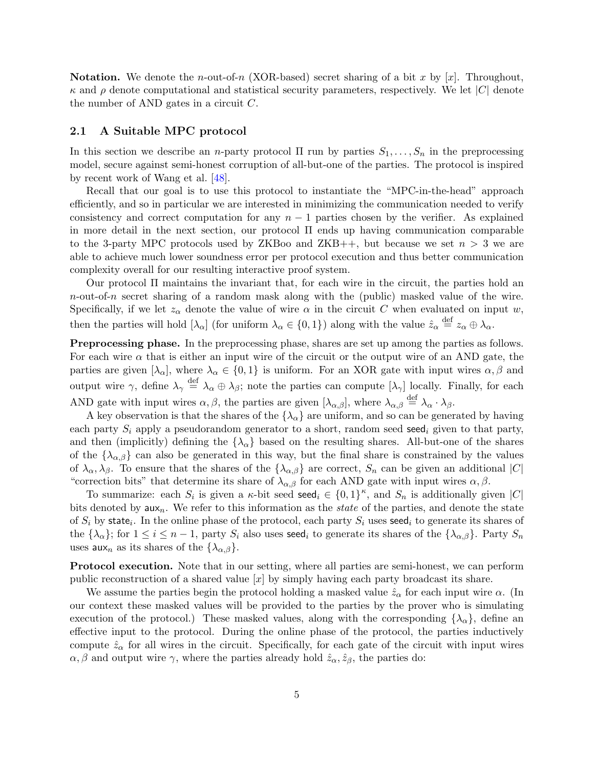**Notation.** We denote the *n*-out-of-*n* (XOR-based) secret sharing of a bit x by  $[x]$ . Throughout,  $\kappa$  and  $\rho$  denote computational and statistical security parameters, respectively. We let  $|C|$  denote the number of AND gates in a circuit C.

#### 2.1 A Suitable MPC protocol

In this section we describe an *n*-party protocol  $\Pi$  run by parties  $S_1, \ldots, S_n$  in the preprocessing model, secure against semi-honest corruption of all-but-one of the parties. The protocol is inspired by recent work of Wang et al. [\[48\]](#page-25-1).

Recall that our goal is to use this protocol to instantiate the "MPC-in-the-head" approach efficiently, and so in particular we are interested in minimizing the communication needed to verify consistency and correct computation for any  $n-1$  parties chosen by the verifier. As explained in more detail in the next section, our protocol  $\Pi$  ends up having communication comparable to the 3-party MPC protocols used by ZKBoo and ZKB++, but because we set  $n > 3$  we are able to achieve much lower soundness error per protocol execution and thus better communication complexity overall for our resulting interactive proof system.

Our protocol Π maintains the invariant that, for each wire in the circuit, the parties hold an  $n$ -out-of-n secret sharing of a random mask along with the (public) masked value of the wire. Specifically, if we let  $z_\alpha$  denote the value of wire  $\alpha$  in the circuit C when evaluated on input w, then the parties will hold  $[\lambda_{\alpha}]$  (for uniform  $\lambda_{\alpha} \in \{0,1\}$ ) along with the value  $\hat{z}_{\alpha} \stackrel{\text{def}}{=} z_{\alpha} \oplus \lambda_{\alpha}$ .

Preprocessing phase. In the preprocessing phase, shares are set up among the parties as follows. For each wire  $\alpha$  that is either an input wire of the circuit or the output wire of an AND gate, the parties are given  $[\lambda_{\alpha}]$ , where  $\lambda_{\alpha} \in \{0,1\}$  is uniform. For an XOR gate with input wires  $\alpha, \beta$  and output wire  $\gamma$ , define  $\lambda_{\gamma} \stackrel{\text{def}}{=} \lambda_{\alpha} \oplus \lambda_{\beta}$ ; note the parties can compute  $[\lambda_{\gamma}]$  locally. Finally, for each AND gate with input wires  $\alpha, \beta$ , the parties are given  $[\lambda_{\alpha,\beta}]$ , where  $\lambda_{\alpha,\beta} \stackrel{\text{def}}{=} \lambda_{\alpha} \cdot \lambda_{\beta}$ .

A key observation is that the shares of the  $\{\lambda_{\alpha}\}\$ are uniform, and so can be generated by having each party  $S_i$  apply a pseudorandom generator to a short, random seed seed<sub>i</sub> given to that party, and then (implicitly) defining the  $\{\lambda_{\alpha}\}\$  based on the resulting shares. All-but-one of the shares of the  $\{\lambda_{\alpha,\beta}\}$  can also be generated in this way, but the final share is constrained by the values of  $\lambda_{\alpha}, \lambda_{\beta}$ . To ensure that the shares of the  $\{\lambda_{\alpha,\beta}\}\$ are correct,  $S_n$  can be given an additional  $|C|$ "correction bits" that determine its share of  $\lambda_{\alpha,\beta}$  for each AND gate with input wires  $\alpha,\beta$ .

To summarize: each  $S_i$  is given a  $\kappa$ -bit seed seed<sub>i</sub>  $\in \{0,1\}^{\kappa}$ , and  $S_n$  is additionally given  $|C|$ bits denoted by  $aux_n$ . We refer to this information as the *state* of the parties, and denote the state of  $S_i$  by state<sub>i</sub>. In the online phase of the protocol, each party  $S_i$  uses seed<sub>i</sub> to generate its shares of the  $\{\lambda_{\alpha}\}\$ ; for  $1 \leq i \leq n-1$ , party  $S_i$  also uses seed<sub>i</sub> to generate its shares of the  $\{\lambda_{\alpha,\beta}\}\$ . Party  $S_n$ uses  $\mathsf{aux}_n$  as its shares of the  $\{\lambda_{\alpha,\beta}\}.$ 

Protocol execution. Note that in our setting, where all parties are semi-honest, we can perform public reconstruction of a shared value  $[x]$  by simply having each party broadcast its share.

We assume the parties begin the protocol holding a masked value  $\hat{z}_{\alpha}$  for each input wire  $\alpha$ . (In our context these masked values will be provided to the parties by the prover who is simulating execution of the protocol.) These masked values, along with the corresponding  $\{\lambda_{\alpha}\}\right$ , define an effective input to the protocol. During the online phase of the protocol, the parties inductively compute  $\hat{z}_{\alpha}$  for all wires in the circuit. Specifically, for each gate of the circuit with input wires  $\alpha, \beta$  and output wire  $\gamma$ , where the parties already hold  $\hat{z}_{\alpha}, \hat{z}_{\beta}$ , the parties do: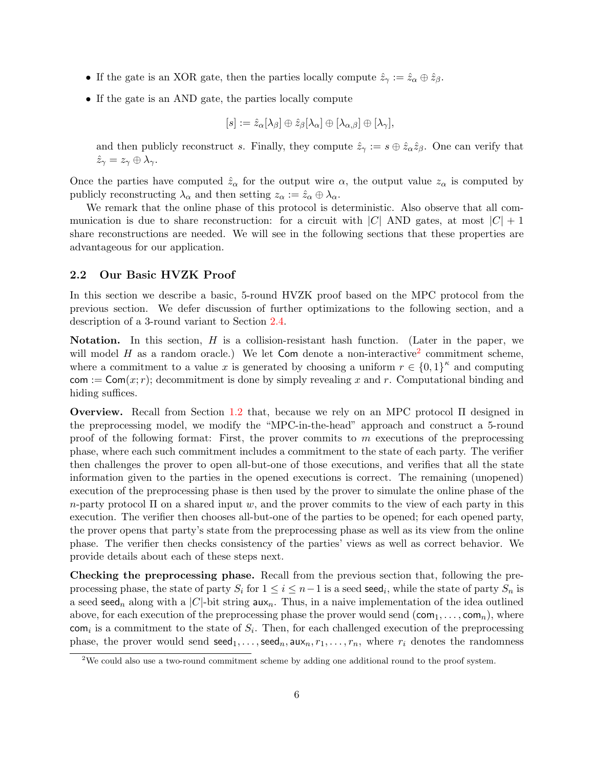- If the gate is an XOR gate, then the parties locally compute  $\hat{z}_{\gamma} := \hat{z}_{\alpha} \oplus \hat{z}_{\beta}$ .
- If the gate is an AND gate, the parties locally compute

$$
[s] := \hat{z}_{\alpha}[\lambda_{\beta}] \oplus \hat{z}_{\beta}[\lambda_{\alpha}] \oplus [\lambda_{\alpha,\beta}] \oplus [\lambda_{\gamma}],
$$

and then publicly reconstruct s. Finally, they compute  $\hat{z}_{\gamma} := s \oplus \hat{z}_{\alpha} \hat{z}_{\beta}$ . One can verify that  $\hat{z}_{\gamma} = z_{\gamma} \oplus \lambda_{\gamma}.$ 

Once the parties have computed  $\hat{z}_{\alpha}$  for the output wire  $\alpha$ , the output value  $z_{\alpha}$  is computed by publicly reconstructing  $\lambda_{\alpha}$  and then setting  $z_{\alpha} := \hat{z}_{\alpha} \oplus \lambda_{\alpha}$ .

We remark that the online phase of this protocol is deterministic. Also observe that all communication is due to share reconstruction: for a circuit with  $|C|$  AND gates, at most  $|C| + 1$ share reconstructions are needed. We will see in the following sections that these properties are advantageous for our application.

#### <span id="page-5-0"></span>2.2 Our Basic HVZK Proof

In this section we describe a basic, 5-round HVZK proof based on the MPC protocol from the previous section. We defer discussion of further optimizations to the following section, and a description of a 3-round variant to Section [2.4.](#page-11-1)

Notation. In this section,  $H$  is a collision-resistant hash function. (Later in the paper, we will model H as a random oracle.) We let  $Com$  denote a non-interactive<sup>[2](#page-5-1)</sup> commitment scheme, where a commitment to a value x is generated by choosing a uniform  $r \in \{0,1\}^{\kappa}$  and computing com :=  $\text{Com}(x; r)$ ; decommitment is done by simply revealing x and r. Computational binding and hiding suffices.

Overview. Recall from Section [1.2](#page-2-0) that, because we rely on an MPC protocol Π designed in the preprocessing model, we modify the "MPC-in-the-head" approach and construct a 5-round proof of the following format: First, the prover commits to  $m$  executions of the preprocessing phase, where each such commitment includes a commitment to the state of each party. The verifier then challenges the prover to open all-but-one of those executions, and verifies that all the state information given to the parties in the opened executions is correct. The remaining (unopened) execution of the preprocessing phase is then used by the prover to simulate the online phase of the  $n$ -party protocol  $\Pi$  on a shared input w, and the prover commits to the view of each party in this execution. The verifier then chooses all-but-one of the parties to be opened; for each opened party, the prover opens that party's state from the preprocessing phase as well as its view from the online phase. The verifier then checks consistency of the parties' views as well as correct behavior. We provide details about each of these steps next.

Checking the preprocessing phase. Recall from the previous section that, following the preprocessing phase, the state of party  $S_i$  for  $1 \leq i \leq n-1$  is a seed seed<sub>i</sub>, while the state of party  $S_n$  is a seed seed<sub>n</sub> along with a |C|-bit string  $aux_n$ . Thus, in a naive implementation of the idea outlined above, for each execution of the preprocessing phase the prover would send  $(\text{com}_1, \ldots, \text{com}_n)$ , where  $\mathsf{com}_i$  is a commitment to the state of  $S_i$ . Then, for each challenged execution of the preprocessing phase, the prover would send  $\mathsf{seed}_1, \ldots, \mathsf{seed}_n, \mathsf{aux}_n, r_1, \ldots, r_n$ , where  $r_i$  denotes the randomness

<span id="page-5-1"></span><sup>&</sup>lt;sup>2</sup>We could also use a two-round commitment scheme by adding one additional round to the proof system.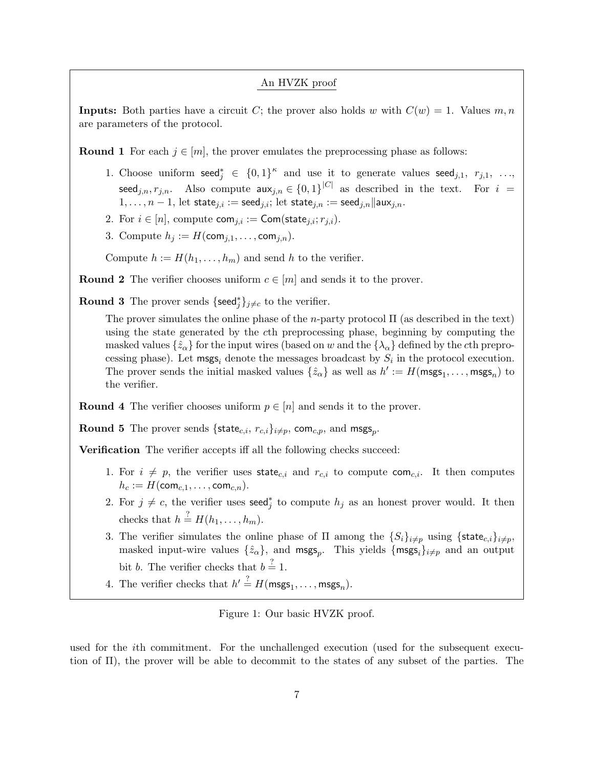#### An HVZK proof

<span id="page-6-0"></span>**Inputs:** Both parties have a circuit C; the prover also holds w with  $C(w) = 1$ . Values  $m, n$ are parameters of the protocol.

**Round 1** For each  $j \in [m]$ , the prover emulates the preprocessing phase as follows:

- 1. Choose uniform seed<sup>\*</sup><sub>j</sub>  $\in \{0,1\}^k$  and use it to generate values seed<sub>j,1</sub>,  $r_{j,1}$ , ..., seed<sub>j,n</sub>,  $r_{j,n}$ . Also compute  $\text{aux}_{j,n} \in \{0,1\}^{|C|}$  as described in the text. For  $i =$  $1, \ldots, n-1$ , let state $j,i := \mathsf{seed}_{j,i}$ ; let state $j,n := \mathsf{seed}_{j,n} || \mathsf{aux}_{j,n}.$
- 2. For  $i \in [n]$ , compute com $_{i,i} := \textsf{Com}(\textsf{state}_{i,i}; r_{i,i}).$
- 3. Compute  $h_j := H(\text{com}_{j,1}, \ldots, \text{com}_{j,n}).$

Compute  $h := H(h_1, \ldots, h_m)$  and send h to the verifier.

**Round 2** The verifier chooses uniform  $c \in [m]$  and sends it to the prover.

**Round 3** The prover sends  $\{\text{seed}^*_j\}_{j\neq c}$  to the verifier.

The prover simulates the online phase of the *n*-party protocol  $\Pi$  (as described in the text) using the state generated by the cth preprocessing phase, beginning by computing the masked values  $\{\hat{z}_{\alpha}\}$  for the input wires (based on w and the  $\{\lambda_{\alpha}\}$  defined by the cth preprocessing phase). Let  $\text{message}$  denote the messages broadcast by  $S_i$  in the protocol execution. The prover sends the initial masked values  $\{\hat{z}_{\alpha}\}\$ as well as  $h' := H(\mathsf{msgs}_1, \dots, \mathsf{msgs}_n)$  to the verifier.

**Round 4** The verifier chooses uniform  $p \in [n]$  and sends it to the prover.

**Round 5** The prover sends  $\{\textsf{state}_{c,i}, r_{c,i}\}_{i \neq p}, \textsf{com}_{c,p}, \text{and } \textsf{msgs}_p.$ 

**Verification** The verifier accepts iff all the following checks succeed:

- 1. For  $i \neq p$ , the verifier uses state<sub>c,i</sub> and  $r_{c,i}$  to compute com<sub>c,i</sub>. It then computes  $h_c := H(\mathsf{com}_{c,1}, \ldots, \mathsf{com}_{c,n}).$
- 2. For  $j \neq c$ , the verifier uses seed<sup>\*</sup><sub>j</sub> to compute  $h_j$  as an honest prover would. It then checks that  $h \stackrel{?}{=} H(h_1, \ldots, h_m)$ .
- 3. The verifier simulates the online phase of  $\Pi$  among the  $\{S_i\}_{i\neq p}$  using  $\{\text{state}_{c,i}\}_{i\neq p}$ , masked input-wire values  $\{\hat{z}_\alpha\}$ , and  ${\sf msgs}_p$ . This yields  $\{{\sf msgs}_i\}_{i\neq p}$  and an output bit *b*. The verifier checks that  $b = 1$ .
- 4. The verifier checks that  $h' \stackrel{?}{=} H(\mathsf{msgs}_1, \dots, \mathsf{msgs}_n)$ .

Figure 1: Our basic HVZK proof.

used for the ith commitment. For the unchallenged execution (used for the subsequent execution of Π), the prover will be able to decommit to the states of any subset of the parties. The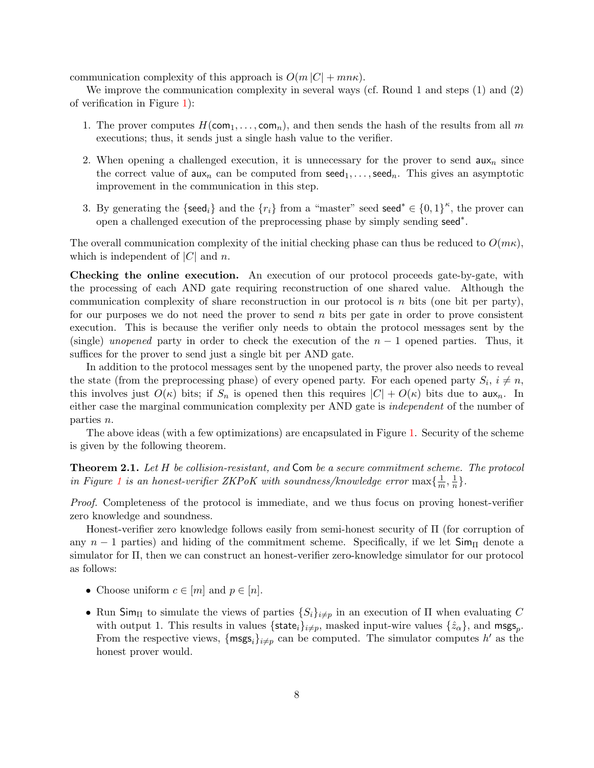communication complexity of this approach is  $O(m|C| + mn\kappa)$ .

We improve the communication complexity in several ways (cf. Round 1 and steps (1) and (2) of verification in Figure [1\)](#page-6-0):

- 1. The prover computes  $H(\text{com}_1, \ldots, \text{com}_n)$ , and then sends the hash of the results from all m executions; thus, it sends just a single hash value to the verifier.
- 2. When opening a challenged execution, it is unnecessary for the prover to send  $\mathsf{aux}_n$  since the correct value of  $aux_n$  can be computed from  $seed_1, \ldots, seed_n$ . This gives an asymptotic improvement in the communication in this step.
- 3. By generating the  $\{\text{seed}_i\}$  and the  $\{r_i\}$  from a "master" seed seed<sup>\*</sup>  $\in \{0,1\}^{\kappa}$ , the prover can open a challenged execution of the preprocessing phase by simply sending seed<sup>\*</sup>.

The overall communication complexity of the initial checking phase can thus be reduced to  $O(m\kappa)$ , which is independent of  $|C|$  and n.

Checking the online execution. An execution of our protocol proceeds gate-by-gate, with the processing of each AND gate requiring reconstruction of one shared value. Although the communication complexity of share reconstruction in our protocol is n bits (one bit per party), for our purposes we do not need the prover to send  $n$  bits per gate in order to prove consistent execution. This is because the verifier only needs to obtain the protocol messages sent by the (single) unopened party in order to check the execution of the  $n-1$  opened parties. Thus, it suffices for the prover to send just a single bit per AND gate.

In addition to the protocol messages sent by the unopened party, the prover also needs to reveal the state (from the preprocessing phase) of every opened party. For each opened party  $S_i$ ,  $i \neq n$ , this involves just  $O(\kappa)$  bits; if  $S_n$  is opened then this requires  $|C| + O(\kappa)$  bits due to aux<sub>n</sub>. In either case the marginal communication complexity per AND gate is *independent* of the number of parties n.

The above ideas (with a few optimizations) are encapsulated in Figure [1.](#page-6-0) Security of the scheme is given by the following theorem.

<span id="page-7-0"></span>**Theorem 2.1.** Let H be collision-resistant, and Com be a secure commitment scheme. The protocol in Figure [1](#page-6-0) is an honest-verifier ZKPoK with soundness/knowledge error  $\max\{\frac{1}{m},\frac{1}{n}\}.$ 

Proof. Completeness of the protocol is immediate, and we thus focus on proving honest-verifier zero knowledge and soundness.

Honest-verifier zero knowledge follows easily from semi-honest security of Π (for corruption of any  $n-1$  parties) and hiding of the commitment scheme. Specifically, if we let  $\mathsf{Sim}_{\Pi}$  denote a simulator for Π, then we can construct an honest-verifier zero-knowledge simulator for our protocol as follows:

- Choose uniform  $c \in [m]$  and  $p \in [n]$ .
- Run Sim<sub>II</sub> to simulate the views of parties  $\{S_i\}_{i\neq p}$  in an execution of  $\Pi$  when evaluating C with output 1. This results in values  $\{\text{state}_i\}_{i\neq p}$ , masked input-wire values  $\{\hat{z}_\alpha\}$ , and msgs<sub>p</sub>. From the respective views,  $\{\text{msgs}_i\}_{i\neq p}$  can be computed. The simulator computes h' as the honest prover would.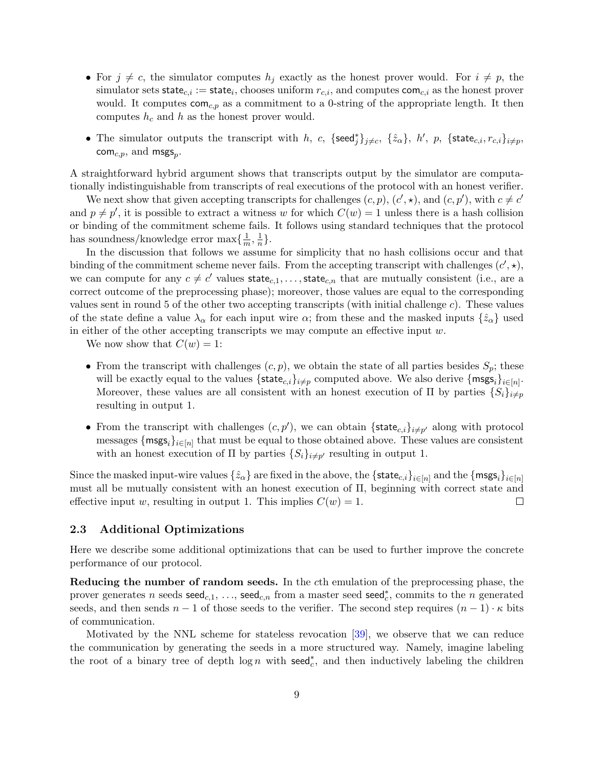- For  $j \neq c$ , the simulator computes  $h_j$  exactly as the honest prover would. For  $i \neq p$ , the simulator sets state<sub>c,i</sub> := state<sub>i</sub>, chooses uniform  $r_{c,i}$ , and computes  $\mathsf{com}_{c,i}$  as the honest prover would. It computes  $com_{c,p}$  as a commitment to a 0-string of the appropriate length. It then computes  $h_c$  and h as the honest prover would.
- The simulator outputs the transcript with h, c, {seed<sup>\*</sup>} $_{j\neq c}$ , { $\hat{z}_{\alpha}$ }, h', p, {state<sub>c,i</sub>,  $r_{c,i}$ }<sub>i $\neq p$ </sub>,  $\mathsf{com}_{c,p}, \text{ and } \mathsf{msgs}_p.$

A straightforward hybrid argument shows that transcripts output by the simulator are computationally indistinguishable from transcripts of real executions of the protocol with an honest verifier.

We next show that given accepting transcripts for challenges  $(c, p)$ ,  $(c', \star)$ , and  $(c, p')$ , with  $c \neq c'$ and  $p \neq p'$ , it is possible to extract a witness w for which  $C(w) = 1$  unless there is a hash collision or binding of the commitment scheme fails. It follows using standard techniques that the protocol has soundness/knowledge error  $\max\{\frac{1}{m},\frac{1}{n}\}.$ 

In the discussion that follows we assume for simplicity that no hash collisions occur and that binding of the commitment scheme never fails. From the accepting transcript with challenges  $(c',\star)$ , we can compute for any  $c \neq c'$  values  $\mathsf{state}_{c,1}, \ldots, \mathsf{state}_{c,n}$  that are mutually consistent (i.e., are a correct outcome of the preprocessing phase); moreover, those values are equal to the corresponding values sent in round 5 of the other two accepting transcripts (with initial challenge c). These values of the state define a value  $\lambda_{\alpha}$  for each input wire  $\alpha$ ; from these and the masked inputs  $\{\hat{z}_{\alpha}\}\$ used in either of the other accepting transcripts we may compute an effective input  $w$ .

We now show that  $C(w) = 1$ :

- From the transcript with challenges  $(c, p)$ , we obtain the state of all parties besides  $S_p$ ; these will be exactly equal to the values  $\{\textsf{state}_{c,i}\}_{i\neq p}$  computed above. We also derive  $\{\textsf{msgs}_i\}_{i\in[n]}.$ Moreover, these values are all consistent with an honest execution of  $\Pi$  by parties  $\{S_i\}_{i\neq p}$ resulting in output 1.
- From the transcript with challenges  $(c, p')$ , we can obtain {state<sub>c,i}i $\neq p'$ </sub> along with protocol messages  ${\{\text{msgs}_i\}_{i\in[n]}}$  that must be equal to those obtained above. These values are consistent with an honest execution of  $\Pi$  by parties  $\{S_i\}_{i \neq p'}$  resulting in output 1.

Since the masked input-wire values  $\{\hat{z}_{\alpha}\}$  are fixed in the above, the  $\{\text{state}_{c,i}\}_{i\in[n]}$  and the  $\{\text{msgs}_i\}_{i\in[n]}$ must all be mutually consistent with an honest execution of Π, beginning with correct state and effective input w, resulting in output 1. This implies  $C(w) = 1$ .  $\Box$ 

#### 2.3 Additional Optimizations

Here we describe some additional optimizations that can be used to further improve the concrete performance of our protocol.

Reducing the number of random seeds. In the cth emulation of the preprocessing phase, the prover generates n seeds  $\mathsf{seed}_{c,1}, \ldots, \mathsf{seed}_{c,n}$  from a master seed  $\mathsf{seed}_c^*$ , commits to the n generated seeds, and then sends  $n-1$  of those seeds to the verifier. The second step requires  $(n-1) \cdot \kappa$  bits of communication.

Motivated by the NNL scheme for stateless revocation [\[39\]](#page-24-7), we observe that we can reduce the communication by generating the seeds in a more structured way. Namely, imagine labeling the root of a binary tree of depth  $\log n$  with  $\operatorname{seed}^*_{c}$ , and then inductively labeling the children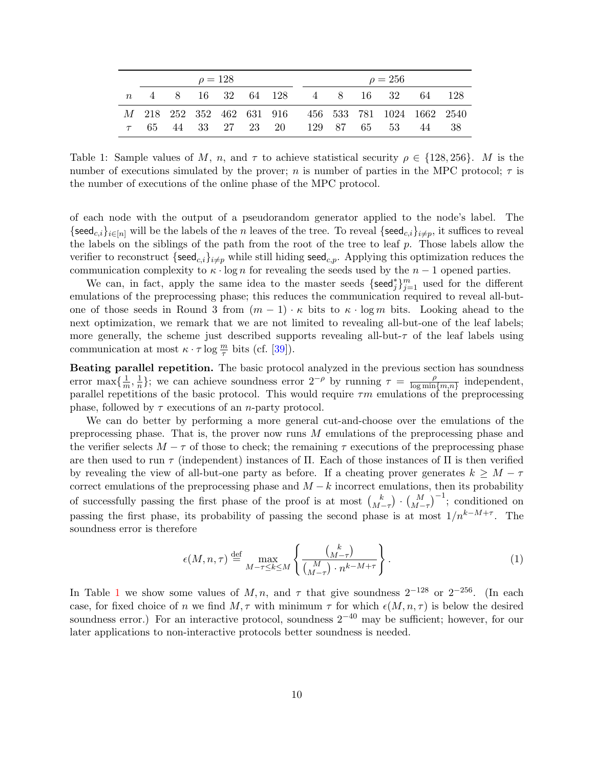<span id="page-9-0"></span>

| $\rho = 128$ |  |  |  |  |  | $\rho = 256$ |  |                                             |  |
|--------------|--|--|--|--|--|--------------|--|---------------------------------------------|--|
|              |  |  |  |  |  |              |  | n 4 8 16 32 64 128 4 8 16 32 64 128         |  |
|              |  |  |  |  |  |              |  | 1024 1662 2540 16 156 33781 1024 1662 2540  |  |
|              |  |  |  |  |  |              |  | $\tau$ 65 44 33 27 23 20 129 87 65 53 44 38 |  |

Table 1: Sample values of M, n, and  $\tau$  to achieve statistical security  $\rho \in \{128, 256\}$ . M is the number of executions simulated by the prover; n is number of parties in the MPC protocol;  $\tau$  is the number of executions of the online phase of the MPC protocol.

of each node with the output of a pseudorandom generator applied to the node's label. The  $\{\mathsf{seed}_{c,i}\}_{i\in[n]}$  will be the labels of the n leaves of the tree. To reveal  $\{\mathsf{seed}_{c,i}\}_{i\neq p}$ , it suffices to reveal the labels on the siblings of the path from the root of the tree to leaf  $p$ . Those labels allow the verifier to reconstruct  $\{\text{seed}_{c,i}\}_{i\neq p}$  while still hiding seed<sub>c,p</sub>. Applying this optimization reduces the communication complexity to  $\kappa \cdot \log n$  for revealing the seeds used by the  $n-1$  opened parties.

We can, in fact, apply the same idea to the master seeds  $\{\text{seed}_j^*\}_{j=1}^m$  used for the different emulations of the preprocessing phase; this reduces the communication required to reveal all-butone of those seeds in Round 3 from  $(m - 1) \cdot \kappa$  bits to  $\kappa \cdot \log m$  bits. Looking ahead to the next optimization, we remark that we are not limited to revealing all-but-one of the leaf labels; more generally, the scheme just described supports revealing all-but- $\tau$  of the leaf labels using communication at most  $\kappa \cdot \tau \log \frac{m}{\tau}$  bits (cf. [\[39\]](#page-24-7)).

Beating parallel repetition. The basic protocol analyzed in the previous section has soundness error max $\{\frac{1}{m},\frac{1}{n}\}\;$  we can achieve soundness error  $2^{-\rho}$  by running  $\tau = \frac{\rho}{\log \min}$  $\frac{\rho}{\log \min\{m,n\}}$  independent, parallel repetitions of the basic protocol. This would require  $\tau m$  emulations of the preprocessing phase, followed by  $\tau$  executions of an *n*-party protocol.

We can do better by performing a more general cut-and-choose over the emulations of the preprocessing phase. That is, the prover now runs  $M$  emulations of the preprocessing phase and the verifier selects  $M - \tau$  of those to check; the remaining  $\tau$  executions of the preprocessing phase are then used to run  $\tau$  (independent) instances of  $\Pi$ . Each of those instances of  $\Pi$  is then verified by revealing the view of all-but-one party as before. If a cheating prover generates  $k \geq M - \tau$ correct emulations of the preprocessing phase and  $M - k$  incorrect emulations, then its probability of successfully passing the first phase of the proof is at most  $\binom{k}{M}$  $\binom{k}{M-\tau}$  ·  $\binom{M}{M-\tau}^{-1}$ ; conditioned on passing the first phase, its probability of passing the second phase is at most  $1/n^{k-M+\tau}$ . The soundness error is therefore

$$
\epsilon(M,n,\tau) \stackrel{\text{def}}{=} \max_{M-\tau \le k \le M} \left\{ \frac{\binom{k}{M-\tau}}{\binom{M}{M-\tau} \cdot n^{k-M+\tau}} \right\}.
$$
 (1)

In Table [1](#page-9-0) we show some values of M, n, and  $\tau$  that give soundness  $2^{-128}$  or  $2^{-256}$ . (In each case, for fixed choice of n we find  $M, \tau$  with minimum  $\tau$  for which  $\epsilon(M, n, \tau)$  is below the desired soundness error.) For an interactive protocol, soundness  $2^{-40}$  may be sufficient; however, for our later applications to non-interactive protocols better soundness is needed.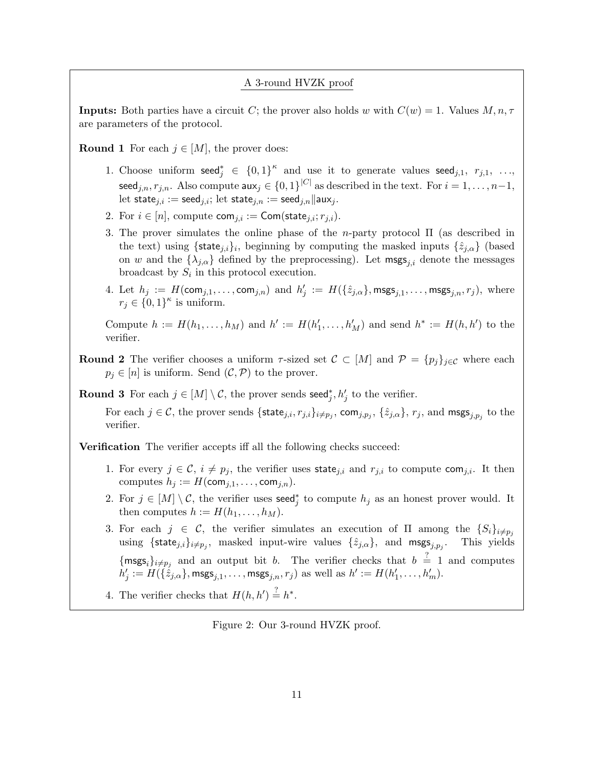#### A 3-round HVZK proof

<span id="page-10-0"></span>**Inputs:** Both parties have a circuit C; the prover also holds w with  $C(w) = 1$ . Values  $M, n, \tau$ are parameters of the protocol.

**Round 1** For each  $j \in [M]$ , the prover does:

- 1. Choose uniform seed<sup>\*</sup><sub>j</sub>  $\in \{0,1\}^{\kappa}$  and use it to generate values seed<sub>j,1</sub>,  $r_{j,1}$ , ..., seed<sub>j,n</sub>,  $r_{j,n}$ . Also compute  $\text{aux}_j \in \{0,1\}^{|C|}$  as described in the text. For  $i = 1, \ldots, n-1$ , let state $j, i := \text{seed}_{j,i}$ ; let state $j, n := \text{seed}_{j,n}$ ||aux<sub>j</sub>.
- 2. For  $i \in [n]$ , compute com $_{i,i} := \textsf{Com}(\textsf{state}_{j,i}; r_{j,i}).$
- 3. The prover simulates the online phase of the n-party protocol  $\Pi$  (as described in the text) using  $\{\text{state}_{j,i}\}_i$ , beginning by computing the masked inputs  $\{\hat{z}_{j,\alpha}\}\)$  (based on w and the  $\{\lambda_{j,\alpha}\}\$  defined by the preprocessing). Let msgs<sub>j,i</sub> denote the messages broadcast by  $S_i$  in this protocol execution.
- 4. Let  $h_j := H(\text{com}_{j,1}, \ldots, \text{com}_{j,n})$  and  $h'_j := H(\{\hat{z}_{j,\alpha}\}, \text{msgs}_{j,1}, \ldots, \text{msgs}_{j,n}, r_j)$ , where  $r_j \in \{0,1\}^{\kappa}$  is uniform.

Compute  $h := H(h_1, \ldots, h_M)$  and  $h' := H(h'_1, \ldots, h'_M)$  and send  $h^* := H(h, h')$  to the verifier.

**Round 2** The verifier chooses a uniform  $\tau$ -sized set  $\mathcal{C} \subset [M]$  and  $\mathcal{P} = \{p_j\}_{j \in \mathcal{C}}$  where each  $p_j \in [n]$  is uniform. Send  $(C, \mathcal{P})$  to the prover.

**Round 3** For each  $j \in [M] \setminus C$ , the prover sends seed<sub>j</sub><sup>\*</sup>,  $h'_j$  to the verifier.

For each  $j \in \mathcal{C}$ , the prover sends  $\{\textsf{state}_{j,i}, r_{j,i}\}_{i \neq p_j}, \textsf{com}_{j,p_j}, \{\hat{z}_{j,\alpha}\}, r_j, \text{and } \textsf{msgs}_{j,p_j}$  to the verifier.

Verification The verifier accepts iff all the following checks succeed:

- 1. For every  $j \in \mathcal{C}$ ,  $i \neq p_j$ , the verifier uses state<sub>j,i</sub> and  $r_{j,i}$  to compute com<sub>j,i</sub>. It then computes  $h_j := H(\text{com}_{j,1}, \ldots, \text{com}_{j,n}).$
- 2. For  $j \in [M] \setminus \mathcal{C}$ , the verifier uses seed<sub>j</sub><sup>\*</sup> to compute  $h_j$  as an honest prover would. It then computes  $h := H(h_1, \ldots, h_M)$ .
- 3. For each  $j \in \mathcal{C}$ , the verifier simulates an execution of  $\Pi$  among the  $\{S_i\}_{i\neq p_j}$ using  $\{\textsf{state}_{j,i}\}_{i\neq p_j},$  masked input-wire values  $\{\hat{z}_{j,\alpha}\},$  and  $\textsf{msgs}_{j,p_j}$ . This yields  $\{\text{msgs}_i\}_{i\neq p_j}$  and an output bit b. The verifier checks that  $b = 1$  and computes  $h'_j:=H(\{\dot{\tilde{z}}_{j,\alpha}\},\mathsf{msgs}_{j,1},\ldots,\mathsf{msgs}_{j,n},r_j)$  as well as  $h':=H(h'_1,\ldots,h'_m).$
- 4. The verifier checks that  $H(h, h') \stackrel{?}{=} h^*$ .

Figure 2: Our 3-round HVZK proof.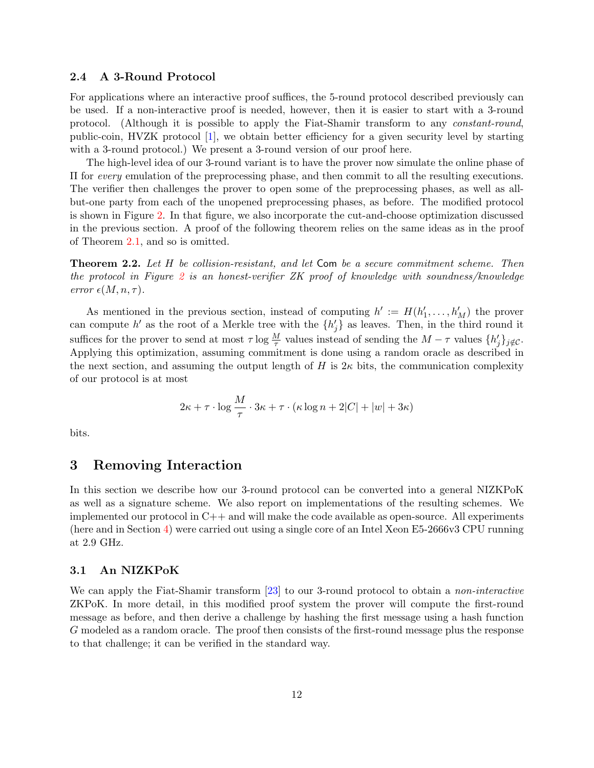#### <span id="page-11-1"></span>2.4 A 3-Round Protocol

For applications where an interactive proof suffices, the 5-round protocol described previously can be used. If a non-interactive proof is needed, however, then it is easier to start with a 3-round protocol. (Although it is possible to apply the Fiat-Shamir transform to any constant-round, public-coin, HVZK protocol [\[1\]](#page-21-2), we obtain better efficiency for a given security level by starting with a 3-round protocol.) We present a 3-round version of our proof here.

The high-level idea of our 3-round variant is to have the prover now simulate the online phase of Π for every emulation of the preprocessing phase, and then commit to all the resulting executions. The verifier then challenges the prover to open some of the preprocessing phases, as well as allbut-one party from each of the unopened preprocessing phases, as before. The modified protocol is shown in Figure [2.](#page-10-0) In that figure, we also incorporate the cut-and-choose optimization discussed in the previous section. A proof of the following theorem relies on the same ideas as in the proof of Theorem [2.1,](#page-7-0) and so is omitted.

**Theorem 2.2.** Let H be collision-resistant, and let Com be a secure commitment scheme. Then the protocol in Figure [2](#page-10-0) is an honest-verifier ZK proof of knowledge with soundness/knowledge error  $\epsilon(M, n, \tau)$ .

As mentioned in the previous section, instead of computing  $h' := H(h'_1, \ldots, h'_M)$  the prover can compute h' as the root of a Merkle tree with the  $\{h'_j\}$  as leaves. Then, in the third round it suffices for the prover to send at most  $\tau \log \frac{M}{\tau}$  values instead of sending the  $M - \tau$  values  $\{h'_j\}_{j \notin \mathcal{C}}$ . Applying this optimization, assuming commitment is done using a random oracle as described in the next section, and assuming the output length of H is  $2\kappa$  bits, the communication complexity of our protocol is at most

$$
2\kappa + \tau \cdot \log \frac{M}{\tau} \cdot 3\kappa + \tau \cdot (\kappa \log n + 2|C| + |w| + 3\kappa)
$$

bits.

### <span id="page-11-0"></span>3 Removing Interaction

In this section we describe how our 3-round protocol can be converted into a general NIZKPoK as well as a signature scheme. We also report on implementations of the resulting schemes. We implemented our protocol in  $C++$  and will make the code available as open-source. All experiments (here and in Section [4\)](#page-16-0) were carried out using a single core of an Intel Xeon E5-2666v3 CPU running at 2.9 GHz.

#### <span id="page-11-2"></span>3.1 An NIZKPoK

We can apply the Fiat-Shamir transform [\[23\]](#page-23-8) to our 3-round protocol to obtain a *non-interactive* ZKPoK. In more detail, in this modified proof system the prover will compute the first-round message as before, and then derive a challenge by hashing the first message using a hash function G modeled as a random oracle. The proof then consists of the first-round message plus the response to that challenge; it can be verified in the standard way.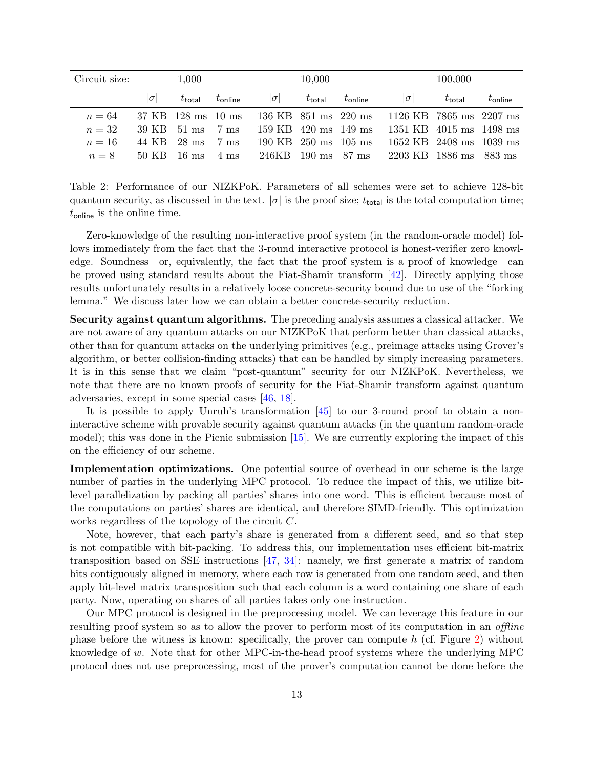<span id="page-12-0"></span>

| Circuit size: |          | 1,000                 |                  |                                                  | 10,000                 |                  | 100,000                 |                         |                     |  |
|---------------|----------|-----------------------|------------------|--------------------------------------------------|------------------------|------------------|-------------------------|-------------------------|---------------------|--|
|               | $\sigma$ | $t_{\sf total}$       | $t_{\rm online}$ | $ \sigma $                                       | $t_{\rm total}$        | $t_{\rm online}$ | $\sigma$                | $t_{\rm total}$         | $t_{\text{online}}$ |  |
| $n = 64$      |          | 37 KB 128 ms 10 ms    |                  | $136$ KB $851$ ms $220$ ms                       |                        |                  | 1126 KB 7865 ms 2207 ms |                         |                     |  |
| $n=32$        |          | 39 KB 51 ms 7 ms      |                  | $159$ KB $420$ ms $149$ ms                       |                        |                  |                         | 1351 KB 4015 ms 1498 ms |                     |  |
| $n=16$        |          | 44 KB 28 ms           | 7 ms             | $190 \text{ KB } 250 \text{ ms } 105 \text{ ms}$ |                        |                  |                         | 1652 KB 2408 ms 1039 ms |                     |  |
| $n=8$         |          | $50 \text{ KB}$ 16 ms | 4 ms             | 246KB                                            | $190 \text{ ms}$ 87 ms |                  | 2203 KB 1886 ms 883 ms  |                         |                     |  |

Table 2: Performance of our NIZKPoK. Parameters of all schemes were set to achieve 128-bit quantum security, as discussed in the text.  $|\sigma|$  is the proof size;  $t_{total}$  is the total computation time;  $t_{\text{online}}$  is the online time.

Zero-knowledge of the resulting non-interactive proof system (in the random-oracle model) follows immediately from the fact that the 3-round interactive protocol is honest-verifier zero knowledge. Soundness—or, equivalently, the fact that the proof system is a proof of knowledge—can be proved using standard results about the Fiat-Shamir transform [\[42\]](#page-25-2). Directly applying those results unfortunately results in a relatively loose concrete-security bound due to use of the "forking lemma." We discuss later how we can obtain a better concrete-security reduction.

Security against quantum algorithms. The preceding analysis assumes a classical attacker. We are not aware of any quantum attacks on our NIZKPoK that perform better than classical attacks, other than for quantum attacks on the underlying primitives (e.g., preimage attacks using Grover's algorithm, or better collision-finding attacks) that can be handled by simply increasing parameters. It is in this sense that we claim "post-quantum" security for our NIZKPoK. Nevertheless, we note that there are no known proofs of security for the Fiat-Shamir transform against quantum adversaries, except in some special cases [\[46,](#page-25-3) [18\]](#page-23-11).

It is possible to apply Unruh's transformation  $\left[45\right]$  to our 3-round proof to obtain a noninteractive scheme with provable security against quantum attacks (in the quantum random-oracle model); this was done in the Picnic submission [\[15\]](#page-22-5). We are currently exploring the impact of this on the efficiency of our scheme.

Implementation optimizations. One potential source of overhead in our scheme is the large number of parties in the underlying MPC protocol. To reduce the impact of this, we utilize bitlevel parallelization by packing all parties' shares into one word. This is efficient because most of the computations on parties' shares are identical, and therefore SIMD-friendly. This optimization works regardless of the topology of the circuit C.

Note, however, that each party's share is generated from a different seed, and so that step is not compatible with bit-packing. To address this, our implementation uses efficient bit-matrix transposition based on SSE instructions [\[47,](#page-25-5) [34\]](#page-24-8): namely, we first generate a matrix of random bits contiguously aligned in memory, where each row is generated from one random seed, and then apply bit-level matrix transposition such that each column is a word containing one share of each party. Now, operating on shares of all parties takes only one instruction.

Our MPC protocol is designed in the preprocessing model. We can leverage this feature in our resulting proof system so as to allow the prover to perform most of its computation in an offline phase before the witness is known: specifically, the prover can compute h (cf. Figure [2\)](#page-10-0) without knowledge of w. Note that for other MPC-in-the-head proof systems where the underlying MPC protocol does not use preprocessing, most of the prover's computation cannot be done before the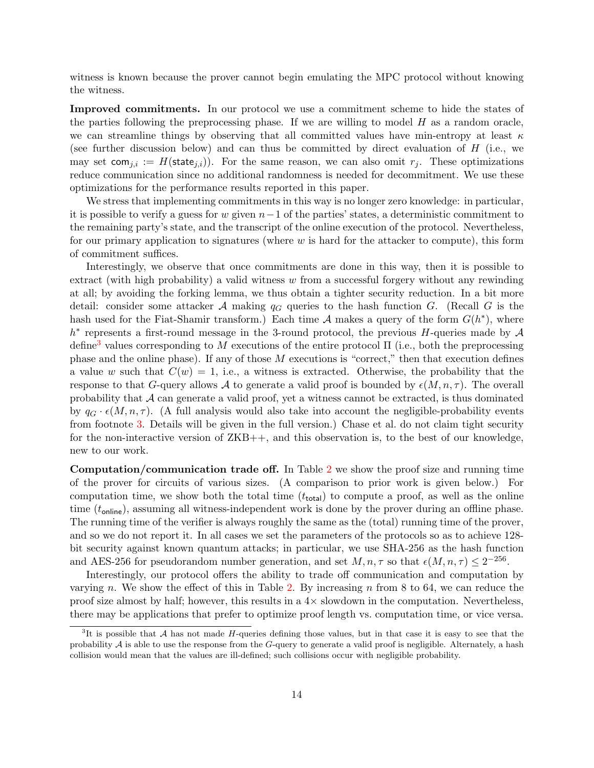witness is known because the prover cannot begin emulating the MPC protocol without knowing the witness.

Improved commitments. In our protocol we use a commitment scheme to hide the states of the parties following the preprocessing phase. If we are willing to model  $H$  as a random oracle, we can streamline things by observing that all committed values have min-entropy at least  $\kappa$ (see further discussion below) and can thus be committed by direct evaluation of  $H$  (i.e., we may set com<sub>j,i</sub> :=  $H(\text{state}_{j,i})$ ). For the same reason, we can also omit  $r_j$ . These optimizations reduce communication since no additional randomness is needed for decommitment. We use these optimizations for the performance results reported in this paper.

We stress that implementing commitments in this way is no longer zero knowledge: in particular, it is possible to verify a guess for w given  $n-1$  of the parties' states, a deterministic commitment to the remaining party's state, and the transcript of the online execution of the protocol. Nevertheless, for our primary application to signatures (where  $w$  is hard for the attacker to compute), this form of commitment suffices.

Interestingly, we observe that once commitments are done in this way, then it is possible to extract (with high probability) a valid witness  $w$  from a successful forgery without any rewinding at all; by avoiding the forking lemma, we thus obtain a tighter security reduction. In a bit more detail: consider some attacker A making  $q_G$  queries to the hash function G. (Recall G is the hash used for the Fiat-Shamir transform.) Each time  $A$  makes a query of the form  $G(h^*)$ , where  $h^*$  represents a first-round message in the 3-round protocol, the previous H-queries made by A define<sup>[3](#page-13-0)</sup> values corresponding to M executions of the entire protocol  $\Pi$  (i.e., both the preprocessing phase and the online phase). If any of those  $M$  executions is "correct," then that execution defines a value w such that  $C(w) = 1$ , i.e., a witness is extracted. Otherwise, the probability that the response to that G-query allows A to generate a valid proof is bounded by  $\epsilon(M, n, \tau)$ . The overall probability that  $A$  can generate a valid proof, yet a witness cannot be extracted, is thus dominated by  $q_G \cdot \epsilon(M, n, \tau)$ . (A full analysis would also take into account the negligible-probability events from footnote [3.](#page-13-0) Details will be given in the full version.) Chase et al. do not claim tight security for the non-interactive version of ZKB++, and this observation is, to the best of our knowledge, new to our work.

Computation/communication trade off. In Table [2](#page-12-0) we show the proof size and running time of the prover for circuits of various sizes. (A comparison to prior work is given below.) For computation time, we show both the total time  $(t_{total})$  to compute a proof, as well as the online time  $(t_{\text{online}})$ , assuming all witness-independent work is done by the prover during an offline phase. The running time of the verifier is always roughly the same as the (total) running time of the prover, and so we do not report it. In all cases we set the parameters of the protocols so as to achieve 128 bit security against known quantum attacks; in particular, we use SHA-256 as the hash function and AES-256 for pseudorandom number generation, and set  $M, n, \tau$  so that  $\epsilon(M, n, \tau) \leq 2^{-256}$ .

Interestingly, our protocol offers the ability to trade off communication and computation by varying n. We show the effect of this in Table [2.](#page-12-0) By increasing n from 8 to 64, we can reduce the proof size almost by half; however, this results in a  $4\times$  slowdown in the computation. Nevertheless, there may be applications that prefer to optimize proof length vs. computation time, or vice versa.

<span id="page-13-0"></span> ${}^{3}$ It is possible that A has not made H-queries defining those values, but in that case it is easy to see that the probability  $A$  is able to use the response from the  $G$ -query to generate a valid proof is negligible. Alternately, a hash collision would mean that the values are ill-defined; such collisions occur with negligible probability.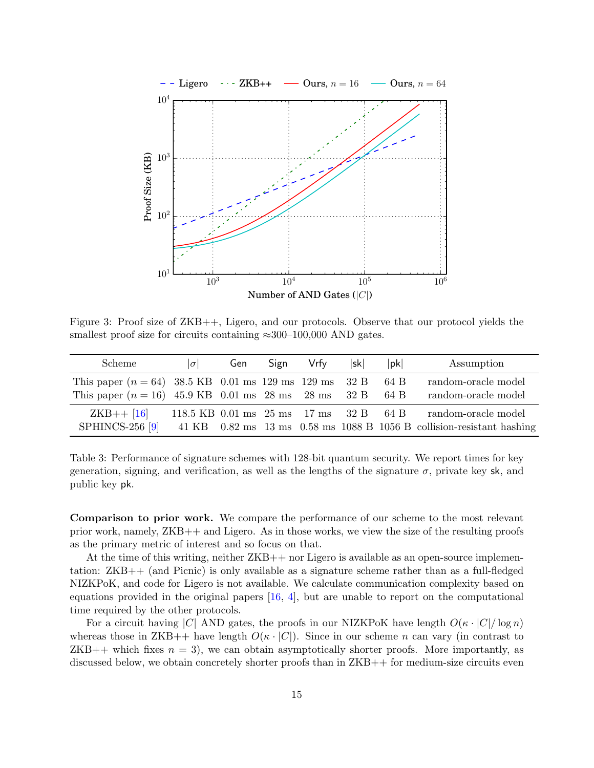<span id="page-14-0"></span>

Figure 3: Proof size of ZKB++, Ligero, and our protocols. Observe that our protocol yields the smallest proof size for circuits containing  $\approx 300-100,000$  AND gates.

<span id="page-14-1"></span>

| Scheme                                                      | $ \sigma $                                                          | Gen | Sign | Vrfv | sk | pk   | Assumption                                                                           |
|-------------------------------------------------------------|---------------------------------------------------------------------|-----|------|------|----|------|--------------------------------------------------------------------------------------|
| This paper $(n = 64)$ 38.5 KB 0.01 ms 129 ms 129 ms 32 B    |                                                                     |     |      |      |    | 64 B | random-oracle model                                                                  |
| This paper $(n = 16)$ 45.9 KB 0.01 ms 28 ms 28 ms 32 B 64 B |                                                                     |     |      |      |    |      | random-oracle model                                                                  |
| $ZKB++ [16]$                                                | $118.5 \text{ KB } 0.01 \text{ ms}$ 25 ms $17 \text{ ms}$ 32 B 64 B |     |      |      |    |      | random-oracle model                                                                  |
| SPHINCS-256 $[9]$                                           |                                                                     |     |      |      |    |      | 41 KB $-0.82$ ms $-13$ ms $-0.58$ ms $-1088$ B $-1056$ B collision-resistant hashing |

Table 3: Performance of signature schemes with 128-bit quantum security. We report times for key generation, signing, and verification, as well as the lengths of the signature  $\sigma$ , private key sk, and public key pk.

Comparison to prior work. We compare the performance of our scheme to the most relevant prior work, namely, ZKB++ and Ligero. As in those works, we view the size of the resulting proofs as the primary metric of interest and so focus on that.

At the time of this writing, neither ZKB++ nor Ligero is available as an open-source implementation: ZKB++ (and Picnic) is only available as a signature scheme rather than as a full-fledged NIZKPoK, and code for Ligero is not available. We calculate communication complexity based on equations provided in the original papers [\[16,](#page-22-4) [4\]](#page-21-1), but are unable to report on the computational time required by the other protocols.

For a circuit having |C| AND gates, the proofs in our NIZKPoK have length  $O(\kappa \cdot |C|/\log n)$ whereas those in ZKB++ have length  $O(\kappa \cdot |C|)$ . Since in our scheme n can vary (in contrast to  $ZKB++$  which fixes  $n = 3$ , we can obtain asymptotically shorter proofs. More importantly, as discussed below, we obtain concretely shorter proofs than in ZKB++ for medium-size circuits even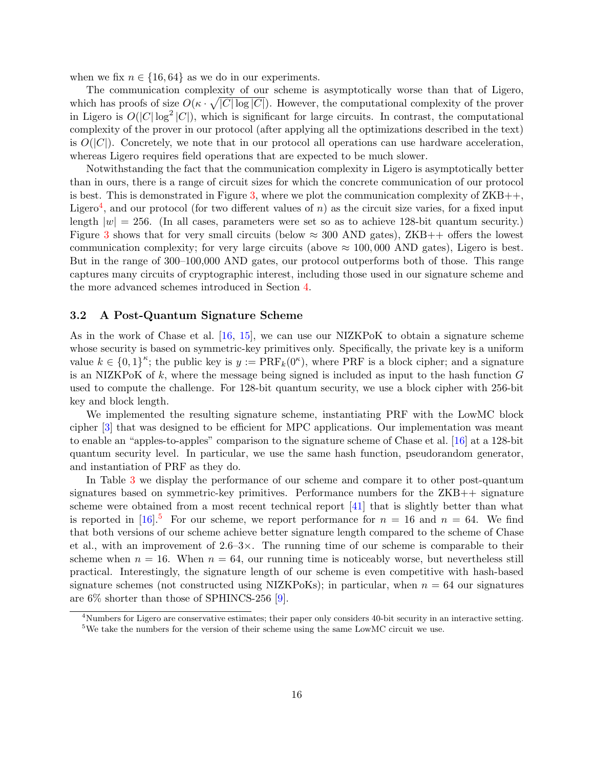when we fix  $n \in \{16, 64\}$  as we do in our experiments.

The communication complexity of our scheme is asymptotically worse than that of Ligero, which has proofs of size  $O(\kappa \cdot \sqrt{|C| \log |C|})$ . However, the computational complexity of the prover in Ligero is  $O(|C|\log^2|C|)$ , which is significant for large circuits. In contrast, the computational complexity of the prover in our protocol (after applying all the optimizations described in the text) is  $O(|C|)$ . Concretely, we note that in our protocol all operations can use hardware acceleration, whereas Ligero requires field operations that are expected to be much slower.

Notwithstanding the fact that the communication complexity in Ligero is asymptotically better than in ours, there is a range of circuit sizes for which the concrete communication of our protocol is best. This is demonstrated in Figure [3,](#page-14-0) where we plot the communication complexity of  $ZKB++$ , Ligero<sup>[4](#page-15-1)</sup>, and our protocol (for two different values of n) as the circuit size varies, for a fixed input length  $|w| = 256$ . (In all cases, parameters were set so as to achieve 128-bit quantum security.) Figure [3](#page-14-0) shows that for very small circuits (below  $\approx 300$  AND gates), ZKB++ offers the lowest communication complexity; for very large circuits (above  $\approx 100,000$  AND gates), Ligero is best. But in the range of 300–100,000 AND gates, our protocol outperforms both of those. This range captures many circuits of cryptographic interest, including those used in our signature scheme and the more advanced schemes introduced in Section [4.](#page-16-0)

#### <span id="page-15-0"></span>3.2 A Post-Quantum Signature Scheme

As in the work of Chase et al. [\[16,](#page-22-4) [15\]](#page-22-5), we can use our NIZKPoK to obtain a signature scheme whose security is based on symmetric-key primitives only. Specifically, the private key is a uniform value  $k \in \{0,1\}^{\kappa}$ ; the public key is  $y := \text{PRF}_k(0^{\kappa})$ , where PRF is a block cipher; and a signature is an NIZKPoK of  $k$ , where the message being signed is included as input to the hash function  $G$ used to compute the challenge. For 128-bit quantum security, we use a block cipher with 256-bit key and block length.

We implemented the resulting signature scheme, instantiating PRF with the LowMC block cipher [\[3\]](#page-21-3) that was designed to be efficient for MPC applications. Our implementation was meant to enable an "apples-to-apples" comparison to the signature scheme of Chase et al. [\[16\]](#page-22-4) at a 128-bit quantum security level. In particular, we use the same hash function, pseudorandom generator, and instantiation of PRF as they do.

In Table [3](#page-14-1) we display the performance of our scheme and compare it to other post-quantum signatures based on symmetric-key primitives. Performance numbers for the ZKB++ signature scheme were obtained from a most recent technical report [\[41\]](#page-25-6) that is slightly better than what is reported in [\[16\]](#page-22-4).<sup>[5](#page-15-2)</sup> For our scheme, we report performance for  $n = 16$  and  $n = 64$ . We find that both versions of our scheme achieve better signature length compared to the scheme of Chase et al., with an improvement of  $2.6-3\times$ . The running time of our scheme is comparable to their scheme when  $n = 16$ . When  $n = 64$ , our running time is noticeably worse, but nevertheless still practical. Interestingly, the signature length of our scheme is even competitive with hash-based signature schemes (not constructed using NIZKPoKs); in particular, when  $n = 64$  our signatures are 6% shorter than those of SPHINCS-256 [\[9\]](#page-22-6).

<span id="page-15-2"></span><span id="page-15-1"></span><sup>&</sup>lt;sup>4</sup>Numbers for Ligero are conservative estimates; their paper only considers 40-bit security in an interactive setting. <sup>5</sup>We take the numbers for the version of their scheme using the same LowMC circuit we use.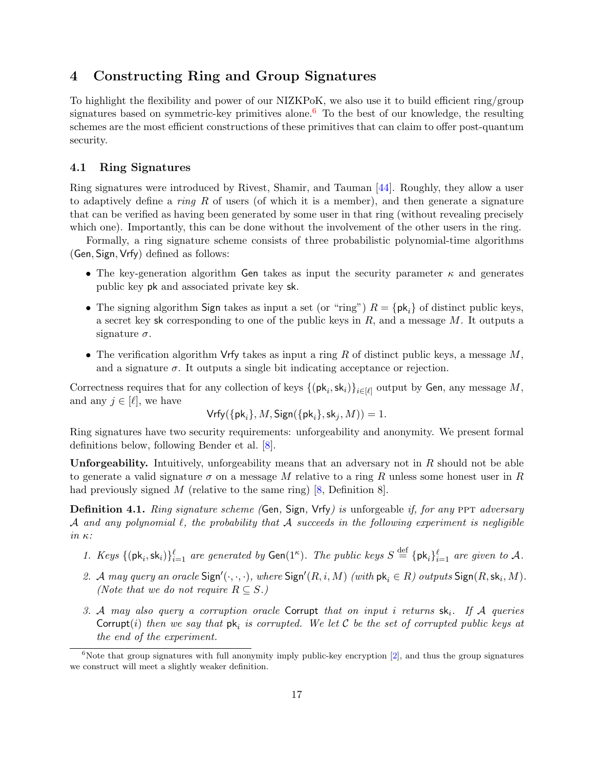## <span id="page-16-0"></span>4 Constructing Ring and Group Signatures

To highlight the flexibility and power of our NIZKPoK, we also use it to build efficient ring/group signatures based on symmetric-key primitives alone.<sup>[6](#page-16-1)</sup> To the best of our knowledge, the resulting schemes are the most efficient constructions of these primitives that can claim to offer post-quantum security.

#### 4.1 Ring Signatures

Ring signatures were introduced by Rivest, Shamir, and Tauman [\[44\]](#page-25-7). Roughly, they allow a user to adaptively define a *ring*  $R$  of users (of which it is a member), and then generate a signature that can be verified as having been generated by some user in that ring (without revealing precisely which one). Importantly, this can be done without the involvement of the other users in the ring.

Formally, a ring signature scheme consists of three probabilistic polynomial-time algorithms (Gen, Sign, Vrfy) defined as follows:

- The key-generation algorithm Gen takes as input the security parameter  $\kappa$  and generates public key pk and associated private key sk.
- The signing algorithm Sign takes as input a set (or "ring")  $R = \{pk_i\}$  of distinct public keys, a secret key sk corresponding to one of the public keys in  $R$ , and a message  $M$ . It outputs a signature  $\sigma$ .
- The verification algorithm Vrfy takes as input a ring R of distinct public keys, a message  $M$ , and a signature  $\sigma$ . It outputs a single bit indicating acceptance or rejection.

Correctness requires that for any collection of keys  $\{(\mathsf{pk}_i, \mathsf{sk}_i)\}_{i \in [\ell]}$  output by Gen, any message M, and any  $j \in [\ell]$ , we have

$$
\mathsf{Vrfy}(\{\mathsf{pk}_i\}, M, \mathsf{Sign}(\{\mathsf{pk}_i\}, \mathsf{sk}_j, M)) = 1.
$$

Ring signatures have two security requirements: unforgeability and anonymity. We present formal definitions below, following Bender et al. [\[8\]](#page-22-8).

Unforgeability. Intuitively, unforgeability means that an adversary not in  $R$  should not be able to generate a valid signature  $\sigma$  on a message M relative to a ring R unless some honest user in R had previously signed M (relative to the same ring)  $[8,$  Definition 8.

**Definition 4.1.** Ring signature scheme (Gen, Sign, Vrfy) is unforgeable if, for any PPT adversary A and any polynomial  $\ell$ , the probability that A succeeds in the following experiment is negligible in κ:

- 1. Keys  $\{(\mathsf{pk}_i, \mathsf{sk}_i)\}_{i=1}^{\ell}$  are generated by  $\mathsf{Gen}(1^{\kappa})$ . The public keys  $S \stackrel{\text{def}}{=} {\{\mathsf{pk}_i\}}_{i=1}^{\ell}$  are given to A.
- 2. A may query an oracle  $\text{Sign}'(\cdot, \cdot, \cdot)$ , where  $\text{Sign}'(R, i, M)$  (with  $\mathsf{pk}_i \in R$ ) outputs  $\text{Sign}(R, \mathsf{sk}_i, M)$ . (Note that we do not require  $R \subseteq S$ .)
- 3. A may also query a corruption oracle Corrupt that on input i returns  $sk_i$ . If A queries Corrupt(i) then we say that  $pk_i$  is corrupted. We let C be the set of corrupted public keys at the end of the experiment.

<span id="page-16-1"></span> $6$ Note that group signatures with full anonymity imply public-key encryption [\[2\]](#page-21-4), and thus the group signatures we construct will meet a slightly weaker definition.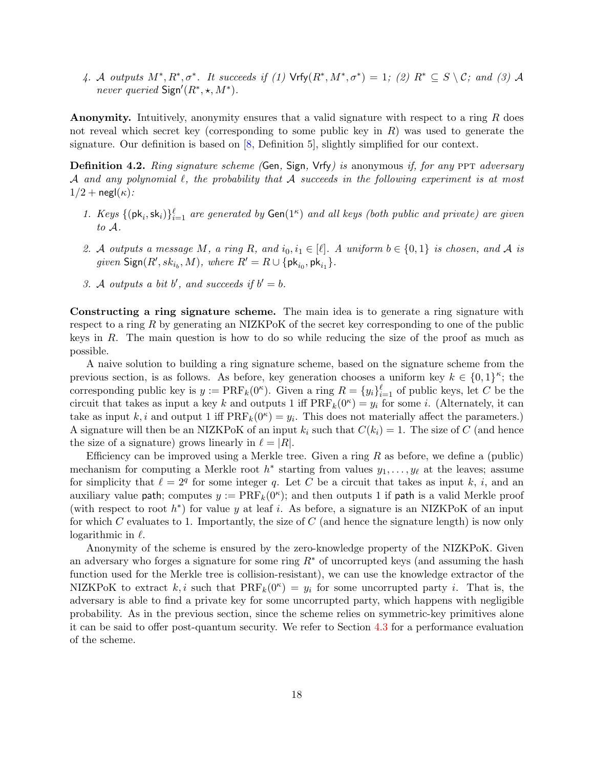4. A outputs  $M^*, R^*, \sigma^*$ . It succeeds if (1)  $\mathsf{Vrfy}(R^*, M^*, \sigma^*) = 1$ ; (2)  $R^* \subseteq S \setminus C$ ; and (3) A never queried  $Sign'(R^*,\star, M^*)$ .

**Anonymity.** Intuitively, anonymity ensures that a valid signature with respect to a ring R does not reveal which secret key (corresponding to some public key in  $R$ ) was used to generate the signature. Our definition is based on [\[8,](#page-22-8) Definition 5], slightly simplified for our context.

**Definition 4.2.** Ring signature scheme (Gen, Sign, Vrfy) is anonymous if, for any PPT adversary A and any polynomial  $\ell$ , the probability that A succeeds in the following experiment is at most  $1/2 + \mathsf{negl}(\kappa)$ :

- 1. Keys  $\{(\mathsf{pk}_i, \mathsf{sk}_i)\}_{i=1}^{\ell}$  are generated by  $\mathsf{Gen}(1^{\kappa})$  and all keys (both public and private) are given to A.
- 2. A outputs a message M, a ring R, and  $i_0, i_1 \in [\ell]$ . A uniform  $b \in \{0,1\}$  is chosen, and A is  $given \ \mathsf{Sign}(R',sk_{i_b},M), \ where \ R' = R \cup \{\mathsf{pk}_{i_0}, \mathsf{pk}_{i_1}\}.$
- 3. A outputs a bit b', and succeeds if  $b' = b$ .

Constructing a ring signature scheme. The main idea is to generate a ring signature with respect to a ring  $R$  by generating an NIZKPoK of the secret key corresponding to one of the public keys in  $R$ . The main question is how to do so while reducing the size of the proof as much as possible.

A naive solution to building a ring signature scheme, based on the signature scheme from the previous section, is as follows. As before, key generation chooses a uniform key  $k \in \{0,1\}^{\kappa}$ ; the corresponding public key is  $y := \text{PRF}_k(0^{\kappa})$ . Given a ring  $R = \{y_i\}_{i=1}^{\ell}$  of public keys, let C be the circuit that takes as input a key k and outputs 1 iff  $\text{PRF}_k(0^{\kappa}) = y_i$  for some i. (Alternately, it can take as input k, i and output 1 iff  $\text{PRF}_k(0^{\kappa}) = y_i$ . This does not materially affect the parameters.) A signature will then be an NIZKPoK of an input  $k_i$  such that  $C(k_i) = 1$ . The size of C (and hence the size of a signature) grows linearly in  $\ell = |R|$ .

Efficiency can be improved using a Merkle tree. Given a ring  $R$  as before, we define a (public) mechanism for computing a Merkle root  $h^*$  starting from values  $y_1, \ldots, y_\ell$  at the leaves; assume for simplicity that  $\ell = 2^q$  for some integer q. Let C be a circuit that takes as input k, i, and an auxiliary value path; computes  $y := PRF_k(0^{\kappa})$ ; and then outputs 1 if path is a valid Merkle proof (with respect to root  $h^*$ ) for value y at leaf i. As before, a signature is an NIZKPoK of an input for which C evaluates to 1. Importantly, the size of C (and hence the signature length) is now only logarithmic in  $\ell$ .

Anonymity of the scheme is ensured by the zero-knowledge property of the NIZKPoK. Given an adversary who forges a signature for some ring  $R^*$  of uncorrupted keys (and assuming the hash function used for the Merkle tree is collision-resistant), we can use the knowledge extractor of the NIZKPoK to extract k, i such that  $\text{PRF}_k(0^{\kappa}) = y_i$  for some uncorrupted party i. That is, the adversary is able to find a private key for some uncorrupted party, which happens with negligible probability. As in the previous section, since the scheme relies on symmetric-key primitives alone it can be said to offer post-quantum security. We refer to Section [4.3](#page-20-0) for a performance evaluation of the scheme.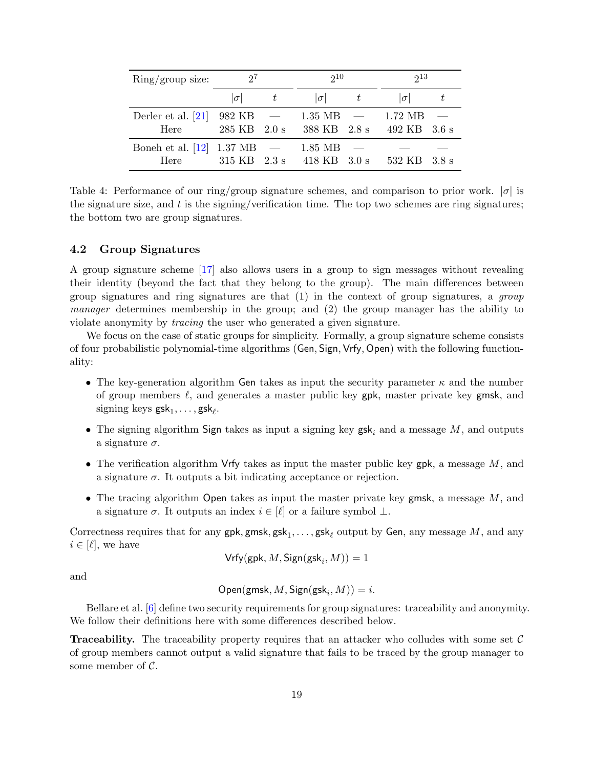<span id="page-18-0"></span>

| Ring/group size:                        | 97         |      | $2^{10}$                                                        |               | $2^{13}$     |  |  |
|-----------------------------------------|------------|------|-----------------------------------------------------------------|---------------|--------------|--|--|
|                                         | $ \sigma $ | $-t$ | $ \sigma $                                                      | $\frac{t}{t}$ | $ \sigma $   |  |  |
| Derler et al. [21] 982 KB $-$<br>Here   |            |      | $1.35 \text{ MB}$ $-$<br>285 KB 2.0 s 388 KB 2.8 s 492 KB 3.6 s |               | 1.72 MB      |  |  |
| Boneh et al. $[12]$ 1.37 MB $-$<br>Here |            |      | $1.85 \text{ MB}$ $-$<br>$315 \text{ KB}$ 2.3 s 418 KB 3.0 s    |               | 532 KB 3.8 s |  |  |

Table 4: Performance of our ring/group signature schemes, and comparison to prior work.  $|\sigma|$  is the signature size, and  $t$  is the signing/verification time. The top two schemes are ring signatures; the bottom two are group signatures.

#### 4.2 Group Signatures

A group signature scheme [\[17\]](#page-22-9) also allows users in a group to sign messages without revealing their identity (beyond the fact that they belong to the group). The main differences between group signatures and ring signatures are that  $(1)$  in the context of group signatures, a group manager determines membership in the group; and (2) the group manager has the ability to violate anonymity by tracing the user who generated a given signature.

We focus on the case of static groups for simplicity. Formally, a group signature scheme consists of four probabilistic polynomial-time algorithms (Gen, Sign, Vrfy, Open) with the following functionality:

- The key-generation algorithm Gen takes as input the security parameter  $\kappa$  and the number of group members  $\ell$ , and generates a master public key gpk, master private key gmsk, and signing keys  $\mathsf{gsk}_1, \ldots, \mathsf{gsk}_\ell$ .
- The signing algorithm Sign takes as input a signing key  $gsk_i$  and a message M, and outputs a signature  $\sigma$ .
- The verification algorithm Vrfy takes as input the master public key  $gpk$ , a message  $M$ , and a signature  $\sigma$ . It outputs a bit indicating acceptance or rejection.
- The tracing algorithm Open takes as input the master private key gmsk, a message  $M$ , and a signature  $\sigma$ . It outputs an index  $i \in [\ell]$  or a failure symbol  $\bot$ .

Correctness requires that for any  $gpk, gnsk, gsk_1, \ldots, gsk_\ell$  output by Gen, any message M, and any  $i \in [\ell],$  we have

$$
\mathsf{Vrfy}(\mathsf{gpk},M,\mathsf{Sign}(\mathsf{gsk}_i,M))=1
$$

and

$$
\mathsf{Open}(\mathsf{gmsk},M,\mathsf{Sign}(\mathsf{gsk}_i,M))=i.
$$

Bellare et al. [\[6\]](#page-21-5) define two security requirements for group signatures: traceability and anonymity. We follow their definitions here with some differences described below.

**Traceability.** The traceability property requires that an attacker who colludes with some set  $\mathcal{C}$ of group members cannot output a valid signature that fails to be traced by the group manager to some member of  $\mathcal{C}$ .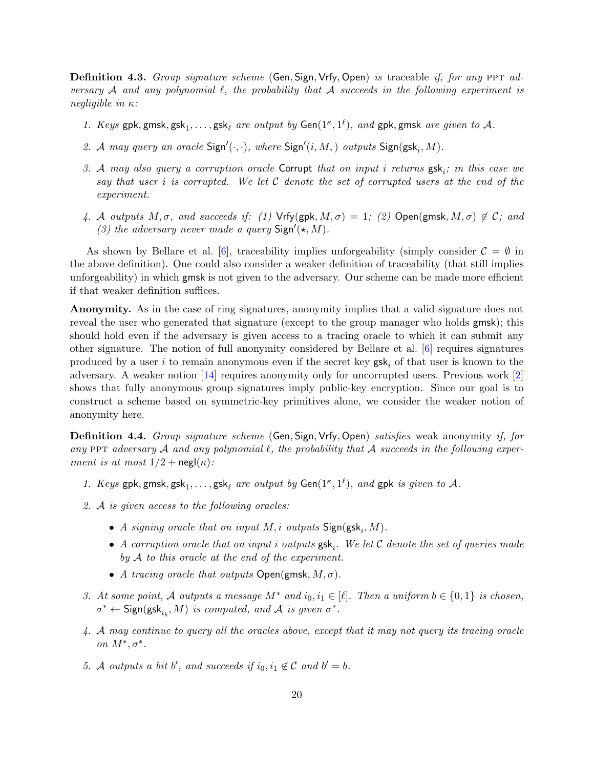**Definition 4.3.** Group signature scheme (Gen, Sign, Vrfy, Open) is traceable if, for any PPT adversary A and any polynomial  $\ell$ , the probability that A succeeds in the following experiment is negligible in κ:

- 1. Keys gpk, gmsk, gsk<sub>1</sub>, ..., gsk<sub>l</sub> are output by  $Gen(1^{\kappa}, 1^{\ell})$ , and gpk, gmsk are given to A.
- 2. A may query an oracle  $\textsf{Sign}'(\cdot, \cdot)$ , where  $\textsf{Sign}'(i, M, )$  outputs  $\textsf{Sign}(\textsf{gsk}_i, M)$ .
- 3. A may also query a corruption oracle Corrupt that on input i returns  $gsk_i$ ; in this case we say that user i is corrupted. We let  $C$  denote the set of corrupted users at the end of the experiment.
- 4. A outputs  $M, \sigma$ , and succeeds if: (1) Vrfy(gpk,  $M, \sigma$ ) = 1; (2) Open(gmsk,  $M, \sigma$ )  $\notin \mathcal{C}$ ; and (3) the adversary never made a query  $Sign'(\star, M)$ .

As shown by Bellare et al. [\[6\]](#page-21-5), traceability implies unforgeability (simply consider  $\mathcal{C} = \emptyset$  in the above definition). One could also consider a weaker definition of traceability (that still implies unforgeability) in which gmsk is not given to the adversary. Our scheme can be made more efficient if that weaker definition suffices.

Anonymity. As in the case of ring signatures, anonymity implies that a valid signature does not reveal the user who generated that signature (except to the group manager who holds gmsk); this should hold even if the adversary is given access to a tracing oracle to which it can submit any other signature. The notion of full anonymity considered by Bellare et al. [\[6\]](#page-21-5) requires signatures produced by a user i to remain anonymous even if the secret key  $gsk_i$  of that user is known to the adversary. A weaker notion [\[14\]](#page-22-10) requires anonymity only for uncorrupted users. Previous work [\[2\]](#page-21-4) shows that fully anonymous group signatures imply public-key encryption. Since our goal is to construct a scheme based on symmetric-key primitives alone, we consider the weaker notion of anonymity here.

**Definition 4.4.** Group signature scheme (Gen, Sign, Vrfy, Open) satisfies weak anonymity if, for any PPT adversary A and any polynomial  $\ell$ , the probability that A succeeds in the following exper*iment is at most*  $1/2 + \text{negl}(\kappa)$ :

- 1. Keys gpk, gmsk,  $gsk_1, \ldots, gsk_\ell$  are output by  $Gen(1^{\kappa}, 1^{\ell})$ , and gpk is given to A.
- 2. A is given access to the following oracles:
	- A signing oracle that on input  $M$ , i outputs  $Sign(gsk<sub>i</sub>, M)$ .
	- A corruption oracle that on input i outputs  $\textsf{gsk}_i$ . We let C denote the set of queries made by  $A$  to this oracle at the end of the experiment.
	- A tracing oracle that outputs Open(gmsk,  $M, \sigma$ ).
- 3. At some point, A outputs a message  $M^*$  and  $i_0, i_1 \in [\ell]$ . Then a uniform  $b \in \{0,1\}$  is chosen,  $\sigma^* \leftarrow \mathsf{Sign}(\mathsf{gsk}_{i_b}, M)$  is computed, and A is given  $\sigma^*$ .
- 4. A may continue to query all the oracles above, except that it may not query its tracing oracle on  $M^*, \sigma^*$ .
- 5. A outputs a bit b', and succeeds if  $i_0, i_1 \notin \mathcal{C}$  and  $b' = b$ .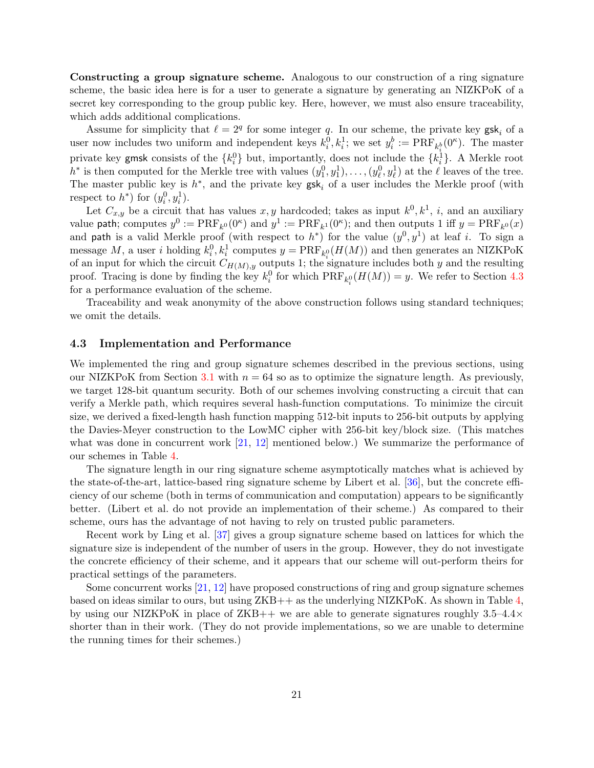Constructing a group signature scheme. Analogous to our construction of a ring signature scheme, the basic idea here is for a user to generate a signature by generating an NIZKPoK of a secret key corresponding to the group public key. Here, however, we must also ensure traceability, which adds additional complications.

Assume for simplicity that  $\ell = 2^q$  for some integer q. In our scheme, the private key  $\textsf{gsk}_i$  of a user now includes two uniform and independent keys  $k_i^0, k_i^1$ ; we set  $y_i^b := \text{PRF}_{k_i^b}(0^{\kappa})$ . The master private key gmsk consists of the  $\{k_i^0\}$  but, importantly, does not include the  $\{k_i^1\}$ . A Merkle root h<sup>\*</sup> is then computed for the Merkle tree with values  $(y_1^0, y_1^1), \ldots, (y_\ell^0, y_\ell^1)$  at the  $\ell$  leaves of the tree. The master public key is  $h^*$ , and the private key  $gsk_i$  of a user includes the Merkle proof (with respect to  $h^*$ ) for  $(y_i^0, y_i^1)$ .

Let  $C_{x,y}$  be a circuit that has values  $x, y$  hardcoded; takes as input  $k^0, k^1, i$ , and an auxiliary value path; computes  $y^0 := \text{PRF}_{k^0}(0^{\kappa})$  and  $y^1 := \text{PRF}_{k^1}(0^{\kappa})$ ; and then outputs 1 iff  $y = \text{PRF}_{k^0}(x)$ and path is a valid Merkle proof (with respect to  $h^*$ ) for the value  $(y^0, y^1)$  at leaf i. To sign a message M, a user i holding  $k_i^0, k_i^1$  computes  $y = \text{PRF}_{k_i^0}(H(M))$  and then generates an NIZKPoK of an input for which the circuit  $C_{H(M),y}$  outputs 1; the signature includes both y and the resulting proof. Tracing is done by finding the key  $k_i^0$  for which  $\text{PRF}_{k_i^0}(H(M)) = y$ . We refer to Section [4.3](#page-20-0) for a performance evaluation of the scheme.

Traceability and weak anonymity of the above construction follows using standard techniques; we omit the details.

#### <span id="page-20-0"></span>4.3 Implementation and Performance

We implemented the ring and group signature schemes described in the previous sections, using our NIZKPoK from Section [3.1](#page-11-2) with  $n = 64$  so as to optimize the signature length. As previously, we target 128-bit quantum security. Both of our schemes involving constructing a circuit that can verify a Merkle path, which requires several hash-function computations. To minimize the circuit size, we derived a fixed-length hash function mapping 512-bit inputs to 256-bit outputs by applying the Davies-Meyer construction to the LowMC cipher with 256-bit key/block size. (This matches what was done in concurrent work [\[21,](#page-23-10) [12\]](#page-22-7) mentioned below.) We summarize the performance of our schemes in Table [4.](#page-18-0)

The signature length in our ring signature scheme asymptotically matches what is achieved by the state-of-the-art, lattice-based ring signature scheme by Libert et al. [\[36\]](#page-24-9), but the concrete efficiency of our scheme (both in terms of communication and computation) appears to be significantly better. (Libert et al. do not provide an implementation of their scheme.) As compared to their scheme, ours has the advantage of not having to rely on trusted public parameters.

Recent work by Ling et al. [\[37\]](#page-24-10) gives a group signature scheme based on lattices for which the signature size is independent of the number of users in the group. However, they do not investigate the concrete efficiency of their scheme, and it appears that our scheme will out-perform theirs for practical settings of the parameters.

Some concurrent works [\[21,](#page-23-10) [12\]](#page-22-7) have proposed constructions of ring and group signature schemes based on ideas similar to ours, but using ZKB++ as the underlying NIZKPoK. As shown in Table [4,](#page-18-0) by using our NIZKPoK in place of ZKB++ we are able to generate signatures roughly  $3.5-4.4\times$ shorter than in their work. (They do not provide implementations, so we are unable to determine the running times for their schemes.)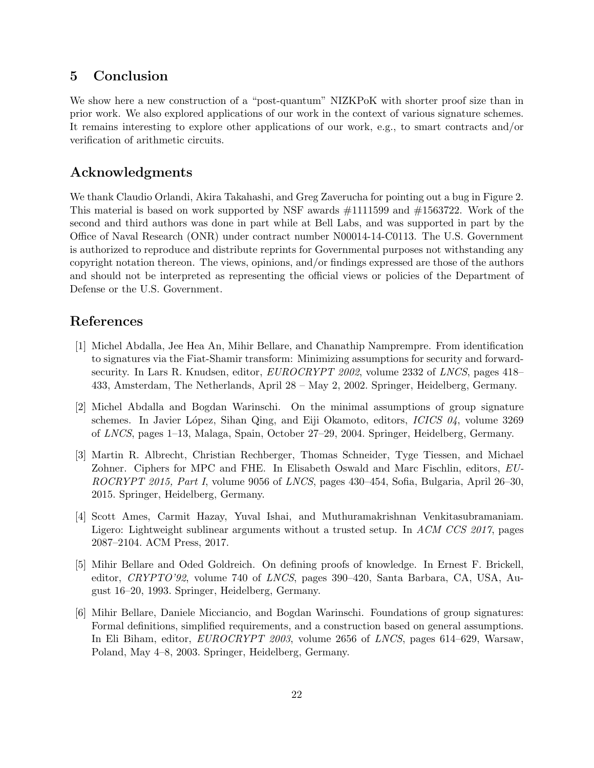## 5 Conclusion

We show here a new construction of a "post-quantum" NIZKPoK with shorter proof size than in prior work. We also explored applications of our work in the context of various signature schemes. It remains interesting to explore other applications of our work, e.g., to smart contracts and/or verification of arithmetic circuits.

## Acknowledgments

We thank Claudio Orlandi, Akira Takahashi, and Greg Zaverucha for pointing out a bug in Figure 2. This material is based on work supported by NSF awards #1111599 and #1563722. Work of the second and third authors was done in part while at Bell Labs, and was supported in part by the Office of Naval Research (ONR) under contract number N00014-14-C0113. The U.S. Government is authorized to reproduce and distribute reprints for Governmental purposes not withstanding any copyright notation thereon. The views, opinions, and/or findings expressed are those of the authors and should not be interpreted as representing the official views or policies of the Department of Defense or the U.S. Government.

## References

- <span id="page-21-2"></span>[1] Michel Abdalla, Jee Hea An, Mihir Bellare, and Chanathip Namprempre. From identification to signatures via the Fiat-Shamir transform: Minimizing assumptions for security and forwardsecurity. In Lars R. Knudsen, editor, *EUROCRYPT* 2002, volume 2332 of *LNCS*, pages 418– 433, Amsterdam, The Netherlands, April 28 – May 2, 2002. Springer, Heidelberg, Germany.
- <span id="page-21-4"></span>[2] Michel Abdalla and Bogdan Warinschi. On the minimal assumptions of group signature schemes. In Javier López, Sihan Qing, and Eiji Okamoto, editors, *ICICS 04*, volume 3269 of LNCS, pages 1–13, Malaga, Spain, October 27–29, 2004. Springer, Heidelberg, Germany.
- <span id="page-21-3"></span>[3] Martin R. Albrecht, Christian Rechberger, Thomas Schneider, Tyge Tiessen, and Michael Zohner. Ciphers for MPC and FHE. In Elisabeth Oswald and Marc Fischlin, editors, EU-ROCRYPT 2015, Part I, volume 9056 of LNCS, pages 430–454, Sofia, Bulgaria, April 26–30, 2015. Springer, Heidelberg, Germany.
- <span id="page-21-1"></span>[4] Scott Ames, Carmit Hazay, Yuval Ishai, and Muthuramakrishnan Venkitasubramaniam. Ligero: Lightweight sublinear arguments without a trusted setup. In ACM CCS 2017, pages 2087–2104. ACM Press, 2017.
- <span id="page-21-0"></span>[5] Mihir Bellare and Oded Goldreich. On defining proofs of knowledge. In Ernest F. Brickell, editor, CRYPTO'92, volume 740 of LNCS, pages 390–420, Santa Barbara, CA, USA, August 16–20, 1993. Springer, Heidelberg, Germany.
- <span id="page-21-5"></span>[6] Mihir Bellare, Daniele Micciancio, and Bogdan Warinschi. Foundations of group signatures: Formal definitions, simplified requirements, and a construction based on general assumptions. In Eli Biham, editor, EUROCRYPT 2003, volume 2656 of LNCS, pages 614–629, Warsaw, Poland, May 4–8, 2003. Springer, Heidelberg, Germany.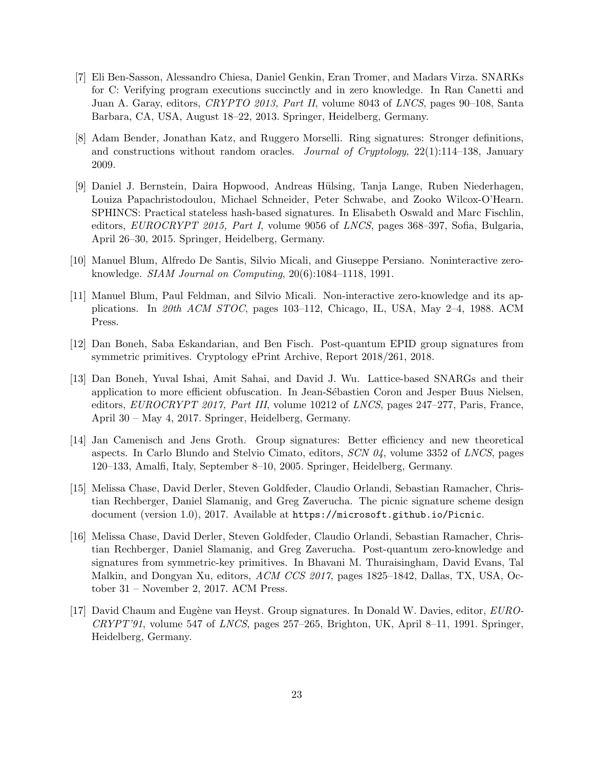- <span id="page-22-2"></span>[7] Eli Ben-Sasson, Alessandro Chiesa, Daniel Genkin, Eran Tromer, and Madars Virza. SNARKs for C: Verifying program executions succinctly and in zero knowledge. In Ran Canetti and Juan A. Garay, editors, CRYPTO 2013, Part II, volume 8043 of LNCS, pages 90–108, Santa Barbara, CA, USA, August 18–22, 2013. Springer, Heidelberg, Germany.
- <span id="page-22-8"></span>[8] Adam Bender, Jonathan Katz, and Ruggero Morselli. Ring signatures: Stronger definitions, and constructions without random oracles. Journal of Cryptology,  $22(1):114-138$ , January 2009.
- <span id="page-22-6"></span>[9] Daniel J. Bernstein, Daira Hopwood, Andreas Hülsing, Tanja Lange, Ruben Niederhagen, Louiza Papachristodoulou, Michael Schneider, Peter Schwabe, and Zooko Wilcox-O'Hearn. SPHINCS: Practical stateless hash-based signatures. In Elisabeth Oswald and Marc Fischlin, editors, EUROCRYPT 2015, Part I, volume 9056 of LNCS, pages 368–397, Sofia, Bulgaria, April 26–30, 2015. Springer, Heidelberg, Germany.
- <span id="page-22-1"></span>[10] Manuel Blum, Alfredo De Santis, Silvio Micali, and Giuseppe Persiano. Noninteractive zeroknowledge. SIAM Journal on Computing, 20(6):1084–1118, 1991.
- <span id="page-22-0"></span>[11] Manuel Blum, Paul Feldman, and Silvio Micali. Non-interactive zero-knowledge and its applications. In 20th ACM STOC, pages 103–112, Chicago, IL, USA, May 2–4, 1988. ACM Press.
- <span id="page-22-7"></span>[12] Dan Boneh, Saba Eskandarian, and Ben Fisch. Post-quantum EPID group signatures from symmetric primitives. Cryptology ePrint Archive, Report 2018/261, 2018.
- <span id="page-22-3"></span>[13] Dan Boneh, Yuval Ishai, Amit Sahai, and David J. Wu. Lattice-based SNARGs and their application to more efficient obfuscation. In Jean-Sébastien Coron and Jesper Buus Nielsen, editors, *EUROCRYPT 2017*, *Part III*, volume 10212 of *LNCS*, pages 247–277, Paris, France, April 30 – May 4, 2017. Springer, Heidelberg, Germany.
- <span id="page-22-10"></span>[14] Jan Camenisch and Jens Groth. Group signatures: Better efficiency and new theoretical aspects. In Carlo Blundo and Stelvio Cimato, editors, SCN 04, volume 3352 of LNCS, pages 120–133, Amalfi, Italy, September 8–10, 2005. Springer, Heidelberg, Germany.
- <span id="page-22-5"></span>[15] Melissa Chase, David Derler, Steven Goldfeder, Claudio Orlandi, Sebastian Ramacher, Christian Rechberger, Daniel Slamanig, and Greg Zaverucha. The picnic signature scheme design document (version 1.0), 2017. Available at https://microsoft.github.io/Picnic.
- <span id="page-22-4"></span>[16] Melissa Chase, David Derler, Steven Goldfeder, Claudio Orlandi, Sebastian Ramacher, Christian Rechberger, Daniel Slamanig, and Greg Zaverucha. Post-quantum zero-knowledge and signatures from symmetric-key primitives. In Bhavani M. Thuraisingham, David Evans, Tal Malkin, and Dongyan Xu, editors, ACM CCS 2017, pages 1825–1842, Dallas, TX, USA, October 31 – November 2, 2017. ACM Press.
- <span id="page-22-9"></span>[17] David Chaum and Eugène van Heyst. Group signatures. In Donald W. Davies, editor, *EURO*- $CRYPT'91$ , volume 547 of *LNCS*, pages 257–265, Brighton, UK, April 8–11, 1991. Springer, Heidelberg, Germany.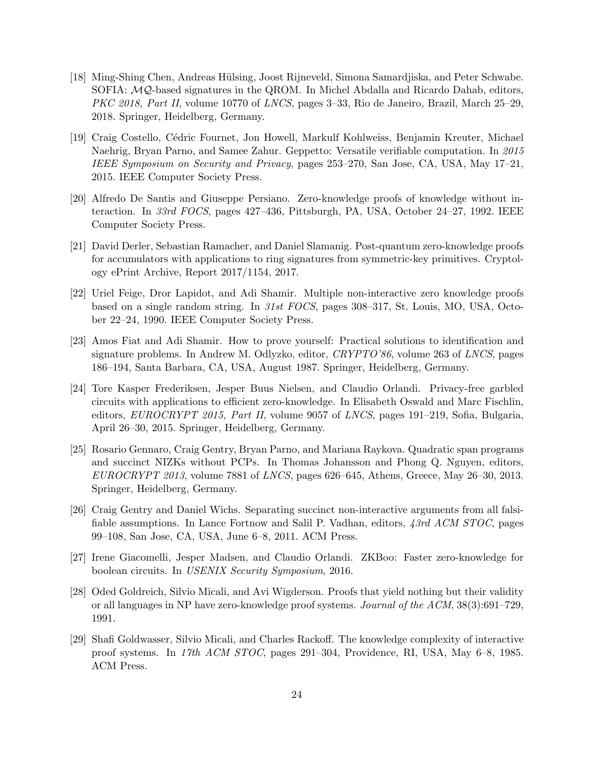- <span id="page-23-11"></span>[18] Ming-Shing Chen, Andreas H¨ulsing, Joost Rijneveld, Simona Samardjiska, and Peter Schwabe. SOFIA: MQ-based signatures in the QROM. In Michel Abdalla and Ricardo Dahab, editors, PKC 2018, Part II, volume 10770 of LNCS, pages 3–33, Rio de Janeiro, Brazil, March 25–29, 2018. Springer, Heidelberg, Germany.
- <span id="page-23-5"></span>[19] Craig Costello, Cédric Fournet, Jon Howell, Markulf Kohlweiss, Benjamin Kreuter, Michael Naehrig, Bryan Parno, and Samee Zahur. Geppetto: Versatile verifiable computation. In 2015 IEEE Symposium on Security and Privacy, pages 253–270, San Jose, CA, USA, May 17–21, 2015. IEEE Computer Society Press.
- <span id="page-23-3"></span>[20] Alfredo De Santis and Giuseppe Persiano. Zero-knowledge proofs of knowledge without interaction. In 33rd FOCS, pages 427–436, Pittsburgh, PA, USA, October 24–27, 1992. IEEE Computer Society Press.
- <span id="page-23-10"></span>[21] David Derler, Sebastian Ramacher, and Daniel Slamanig. Post-quantum zero-knowledge proofs for accumulators with applications to ring signatures from symmetric-key primitives. Cryptology ePrint Archive, Report 2017/1154, 2017.
- <span id="page-23-2"></span>[22] Uriel Feige, Dror Lapidot, and Adi Shamir. Multiple non-interactive zero knowledge proofs based on a single random string. In 31st FOCS, pages 308–317, St. Louis, MO, USA, October 22–24, 1990. IEEE Computer Society Press.
- <span id="page-23-8"></span>[23] Amos Fiat and Adi Shamir. How to prove yourself: Practical solutions to identification and signature problems. In Andrew M. Odlyzko, editor, CRYPTO'86, volume 263 of LNCS, pages 186–194, Santa Barbara, CA, USA, August 1987. Springer, Heidelberg, Germany.
- <span id="page-23-7"></span>[24] Tore Kasper Frederiksen, Jesper Buus Nielsen, and Claudio Orlandi. Privacy-free garbled circuits with applications to efficient zero-knowledge. In Elisabeth Oswald and Marc Fischlin, editors,  $EUROCRYPT$  2015, Part II, volume 9057 of LNCS, pages 191–219, Sofia, Bulgaria, April 26–30, 2015. Springer, Heidelberg, Germany.
- <span id="page-23-4"></span>[25] Rosario Gennaro, Craig Gentry, Bryan Parno, and Mariana Raykova. Quadratic span programs and succinct NIZKs without PCPs. In Thomas Johansson and Phong Q. Nguyen, editors, EUROCRYPT 2013, volume 7881 of LNCS, pages 626–645, Athens, Greece, May 26–30, 2013. Springer, Heidelberg, Germany.
- <span id="page-23-6"></span>[26] Craig Gentry and Daniel Wichs. Separating succinct non-interactive arguments from all falsifiable assumptions. In Lance Fortnow and Salil P. Vadhan, editors, 43rd ACM STOC, pages 99–108, San Jose, CA, USA, June 6–8, 2011. ACM Press.
- <span id="page-23-9"></span>[27] Irene Giacomelli, Jesper Madsen, and Claudio Orlandi. ZKBoo: Faster zero-knowledge for boolean circuits. In USENIX Security Symposium, 2016.
- <span id="page-23-1"></span>[28] Oded Goldreich, Silvio Micali, and Avi Wigderson. Proofs that yield nothing but their validity or all languages in NP have zero-knowledge proof systems. Journal of the ACM, 38(3):691–729, 1991.
- <span id="page-23-0"></span>[29] Shafi Goldwasser, Silvio Micali, and Charles Rackoff. The knowledge complexity of interactive proof systems. In 17th ACM STOC, pages 291–304, Providence, RI, USA, May 6–8, 1985. ACM Press.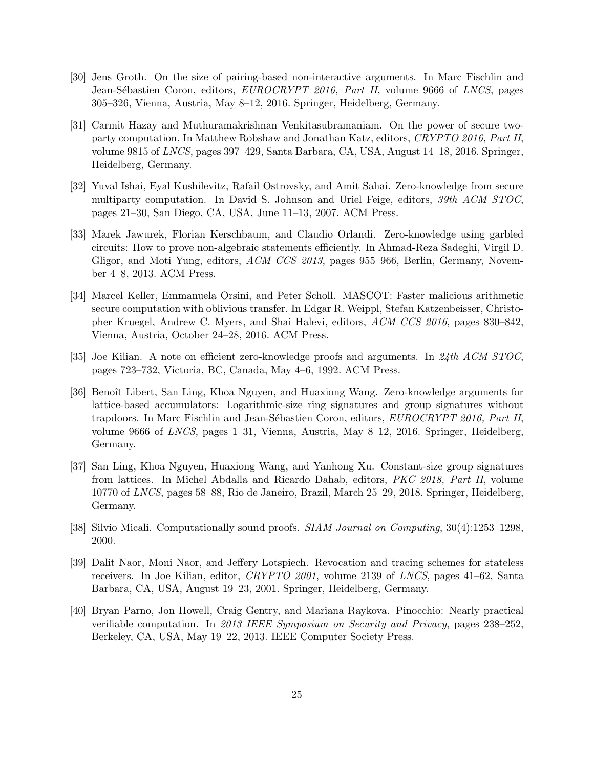- <span id="page-24-1"></span>[30] Jens Groth. On the size of pairing-based non-interactive arguments. In Marc Fischlin and Jean-Sébastien Coron, editors, EUROCRYPT 2016, Part II, volume 9666 of LNCS, pages 305–326, Vienna, Austria, May 8–12, 2016. Springer, Heidelberg, Germany.
- <span id="page-24-5"></span>[31] Carmit Hazay and Muthuramakrishnan Venkitasubramaniam. On the power of secure twoparty computation. In Matthew Robshaw and Jonathan Katz, editors, CRYPTO 2016, Part II, volume 9815 of LNCS, pages 397–429, Santa Barbara, CA, USA, August 14–18, 2016. Springer, Heidelberg, Germany.
- <span id="page-24-6"></span>[32] Yuval Ishai, Eyal Kushilevitz, Rafail Ostrovsky, and Amit Sahai. Zero-knowledge from secure multiparty computation. In David S. Johnson and Uriel Feige, editors, 39th ACM STOC, pages 21–30, San Diego, CA, USA, June 11–13, 2007. ACM Press.
- <span id="page-24-4"></span>[33] Marek Jawurek, Florian Kerschbaum, and Claudio Orlandi. Zero-knowledge using garbled circuits: How to prove non-algebraic statements efficiently. In Ahmad-Reza Sadeghi, Virgil D. Gligor, and Moti Yung, editors, ACM CCS 2013, pages 955–966, Berlin, Germany, November 4–8, 2013. ACM Press.
- <span id="page-24-8"></span>[34] Marcel Keller, Emmanuela Orsini, and Peter Scholl. MASCOT: Faster malicious arithmetic secure computation with oblivious transfer. In Edgar R. Weippl, Stefan Katzenbeisser, Christopher Kruegel, Andrew C. Myers, and Shai Halevi, editors, ACM CCS 2016, pages 830–842, Vienna, Austria, October 24–28, 2016. ACM Press.
- <span id="page-24-2"></span>[35] Joe Kilian. A note on efficient zero-knowledge proofs and arguments. In 24th ACM STOC, pages 723–732, Victoria, BC, Canada, May 4–6, 1992. ACM Press.
- <span id="page-24-9"></span>[36] Benoît Libert, San Ling, Khoa Nguyen, and Huaxiong Wang. Zero-knowledge arguments for lattice-based accumulators: Logarithmic-size ring signatures and group signatures without trapdoors. In Marc Fischlin and Jean-Sébastien Coron, editors, EUROCRYPT 2016, Part II, volume 9666 of LNCS, pages 1–31, Vienna, Austria, May 8–12, 2016. Springer, Heidelberg, Germany.
- <span id="page-24-10"></span>[37] San Ling, Khoa Nguyen, Huaxiong Wang, and Yanhong Xu. Constant-size group signatures from lattices. In Michel Abdalla and Ricardo Dahab, editors, PKC 2018, Part II, volume 10770 of LNCS, pages 58–88, Rio de Janeiro, Brazil, March 25–29, 2018. Springer, Heidelberg, Germany.
- <span id="page-24-3"></span>[38] Silvio Micali. Computationally sound proofs. SIAM Journal on Computing, 30(4):1253–1298, 2000.
- <span id="page-24-7"></span>[39] Dalit Naor, Moni Naor, and Jeffery Lotspiech. Revocation and tracing schemes for stateless receivers. In Joe Kilian, editor, CRYPTO 2001, volume 2139 of LNCS, pages 41–62, Santa Barbara, CA, USA, August 19–23, 2001. Springer, Heidelberg, Germany.
- <span id="page-24-0"></span>[40] Bryan Parno, Jon Howell, Craig Gentry, and Mariana Raykova. Pinocchio: Nearly practical verifiable computation. In 2013 IEEE Symposium on Security and Privacy, pages 238–252, Berkeley, CA, USA, May 19–22, 2013. IEEE Computer Society Press.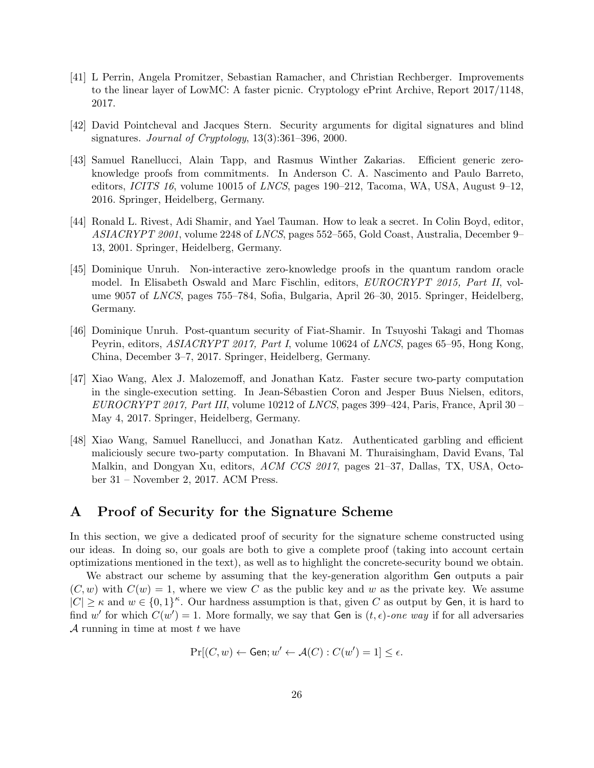- <span id="page-25-6"></span>[41] L Perrin, Angela Promitzer, Sebastian Ramacher, and Christian Rechberger. Improvements to the linear layer of LowMC: A faster picnic. Cryptology ePrint Archive, Report 2017/1148, 2017.
- <span id="page-25-2"></span>[42] David Pointcheval and Jacques Stern. Security arguments for digital signatures and blind signatures. Journal of Cryptology, 13(3):361–396, 2000.
- <span id="page-25-0"></span>[43] Samuel Ranellucci, Alain Tapp, and Rasmus Winther Zakarias. Efficient generic zeroknowledge proofs from commitments. In Anderson C. A. Nascimento and Paulo Barreto, editors, *ICITS 16*, volume 10015 of *LNCS*, pages 190–212, Tacoma, WA, USA, August 9–12, 2016. Springer, Heidelberg, Germany.
- <span id="page-25-7"></span>[44] Ronald L. Rivest, Adi Shamir, and Yael Tauman. How to leak a secret. In Colin Boyd, editor, ASIACRYPT 2001, volume 2248 of LNCS, pages 552–565, Gold Coast, Australia, December 9– 13, 2001. Springer, Heidelberg, Germany.
- <span id="page-25-4"></span>[45] Dominique Unruh. Non-interactive zero-knowledge proofs in the quantum random oracle model. In Elisabeth Oswald and Marc Fischlin, editors, EUROCRYPT 2015, Part II, volume 9057 of LNCS, pages 755–784, Sofia, Bulgaria, April 26–30, 2015. Springer, Heidelberg, Germany.
- <span id="page-25-3"></span>[46] Dominique Unruh. Post-quantum security of Fiat-Shamir. In Tsuyoshi Takagi and Thomas Peyrin, editors, ASIACRYPT 2017, Part I, volume 10624 of LNCS, pages 65–95, Hong Kong, China, December 3–7, 2017. Springer, Heidelberg, Germany.
- <span id="page-25-5"></span>[47] Xiao Wang, Alex J. Malozemoff, and Jonathan Katz. Faster secure two-party computation in the single-execution setting. In Jean-Sébastien Coron and Jesper Buus Nielsen, editors, EUROCRYPT 2017, Part III, volume 10212 of LNCS, pages 399–424, Paris, France, April 30 – May 4, 2017. Springer, Heidelberg, Germany.
- <span id="page-25-1"></span>[48] Xiao Wang, Samuel Ranellucci, and Jonathan Katz. Authenticated garbling and efficient maliciously secure two-party computation. In Bhavani M. Thuraisingham, David Evans, Tal Malkin, and Dongyan Xu, editors, ACM CCS 2017, pages 21–37, Dallas, TX, USA, October 31 – November 2, 2017. ACM Press.

## A Proof of Security for the Signature Scheme

In this section, we give a dedicated proof of security for the signature scheme constructed using our ideas. In doing so, our goals are both to give a complete proof (taking into account certain optimizations mentioned in the text), as well as to highlight the concrete-security bound we obtain.

We abstract our scheme by assuming that the key-generation algorithm Gen outputs a pair  $(C, w)$  with  $C(w) = 1$ , where we view C as the public key and w as the private key. We assume  $|C| \geq \kappa$  and  $w \in \{0,1\}^{\kappa}$ . Our hardness assumption is that, given C as output by Gen, it is hard to find w' for which  $C(w') = 1$ . More formally, we say that Gen is  $(t, \epsilon)$ -one way if for all adversaries  $\mathcal A$  running in time at most  $t$  we have

$$
\Pr[(C,w) \leftarrow \mathsf{Gen}; w' \leftarrow \mathcal{A}(C): C(w') = 1] \leq \epsilon.
$$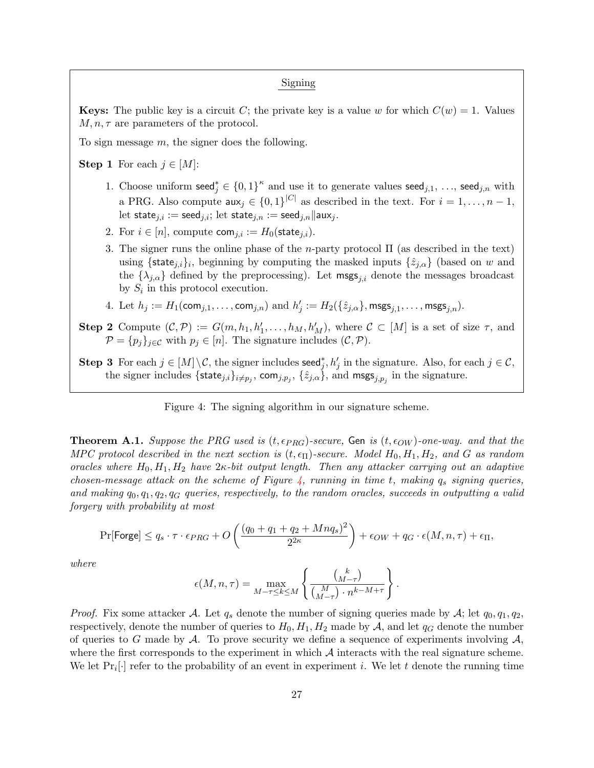#### Signing

<span id="page-26-0"></span>**Keys:** The public key is a circuit C; the private key is a value w for which  $C(w) = 1$ . Values  $M, n, \tau$  are parameters of the protocol.

To sign message  $m$ , the signer does the following.

**Step 1** For each  $j \in [M]$ :

- 1. Choose uniform seed $j \in \{0,1\}^k$  and use it to generate values seed<sub>j,1</sub>, ..., seed<sub>j,n</sub> with a PRG. Also compute  $\mathsf{aux}_j \in \{0,1\}^{|C|}$  as described in the text. For  $i = 1, \ldots, n-1$ , let state $i_i := \text{seed}_{i,i}$ ; let state $i_n := \text{seed}_{i,n}$ ||aux<sub>i</sub>.
- 2. For  $i \in [n]$ , compute com $_{i,i} := H_0(\mathsf{state}_{i,i}).$
- 3. The signer runs the online phase of the *n*-party protocol  $\Pi$  (as described in the text) using  $\{\textsf{state}_{j,i}\}_i$ , beginning by computing the masked inputs  $\{\hat{z}_{j,\alpha}\}\)$  (based on w and the  $\{\lambda_{j,\alpha}\}\$  defined by the preprocessing). Let  $\mathsf{msgs}_{j,i}$  denote the messages broadcast by  $S_i$  in this protocol execution.
- 4. Let  $h_j := H_1(\text{com}_{j,1}, \ldots, \text{com}_{j,n})$  and  $h'_j := H_2(\{\hat{z}_{j,\alpha}\}, \text{msgs}_{j,1}, \ldots, \text{msgs}_{j,n}).$
- **Step 2** Compute  $(C, \mathcal{P}) := G(m, h_1, h'_1, \ldots, h_M, h'_M)$ , where  $C \subset [M]$  is a set of size  $\tau$ , and  $\mathcal{P} = \{p_j\}_{j \in \mathcal{C}}$  with  $p_j \in [n]$ . The signature includes  $(\mathcal{C}, \mathcal{P})$ .
- **Step 3** For each  $j \in [M] \backslash \mathcal{C}$ , the signer includes seed<sup>\*</sup><sub>i</sub>, h'<sub>j</sub> in the signature. Also, for each  $j \in \mathcal{C}$ , the signer includes  $\{\textsf{state}_{j,i}\}_{i\neq p_j}, \textsf{com}_{j,p_j}, \{\hat{z}_{j,\alpha}\}, \text{and } \textsf{msgs}_{j,p_j}$  in the signature.

Figure 4: The signing algorithm in our signature scheme.

**Theorem A.1.** Suppose the PRG used is  $(t, \epsilon_{PRG})$ -secure, Gen is  $(t, \epsilon_{OW})$ -one-way. and that the MPC protocol described in the next section is  $(t, \epsilon_{\Pi})$ -secure. Model  $H_0, H_1, H_2$ , and G as random oracles where  $H_0, H_1, H_2$  have  $2\kappa$ -bit output length. Then any attacker carrying out an adaptive chosen-message attack on the scheme of Figure [4,](#page-26-0) running in time t, making  $q_s$  signing queries, and making  $q_0, q_1, q_2, q_G$  queries, respectively, to the random oracles, succeeds in outputting a valid forgery with probability at most

$$
\Pr[\mathsf{Forge}] \leq q_s \cdot \tau \cdot \epsilon_{PRG} + O\left(\frac{(q_0 + q_1 + q_2 + Mnq_s)^2}{2^{2\kappa}}\right) + \epsilon_{OW} + q_G \cdot \epsilon(M, n, \tau) + \epsilon_{\Pi},
$$

where

$$
\epsilon(M,n,\tau) = \max_{M-\tau \leq k \leq M} \left\{ \frac{\binom{k}{M-\tau}}{\binom{M}{M-\tau} \cdot n^{k-M+\tau}} \right\}.
$$

*Proof.* Fix some attacker A. Let  $q_s$  denote the number of signing queries made by A; let  $q_0, q_1, q_2$ , respectively, denote the number of queries to  $H_0, H_1, H_2$  made by A, and let  $q_G$  denote the number of queries to G made by A. To prove security we define a sequence of experiments involving  $A$ , where the first corresponds to the experiment in which  $A$  interacts with the real signature scheme. We let  $Pr_i[\cdot]$  refer to the probability of an event in experiment *i*. We let *t* denote the running time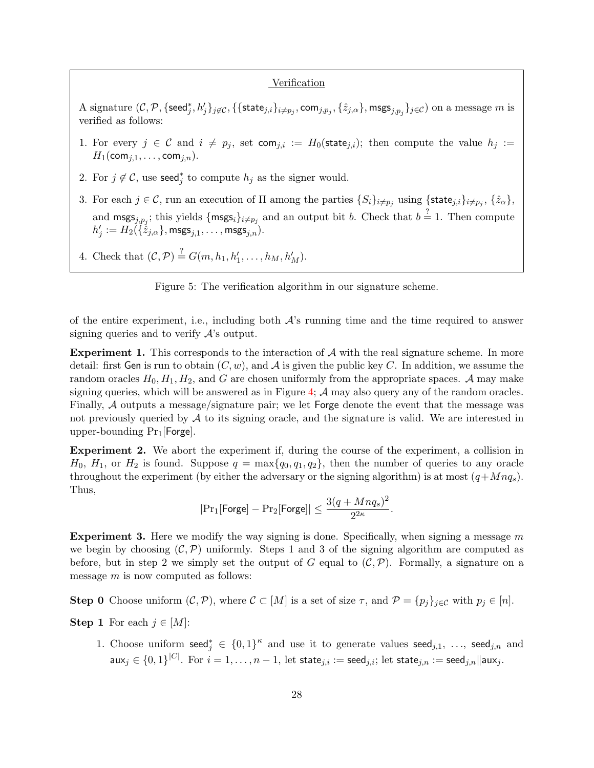#### Verification

 $\mathrm A$  signature  $({\mathcal C}, {\mathcal P}, \{\mathsf{seed}_j^*, h_j'\}_{j \not\in {\mathcal C}}, \{\{\mathsf{state}_{j,i}\}_{i \neq p_j}, \mathsf{com}_{j,p_j}, \{\hat z_{j,\alpha}\}, \mathsf{msgs}_{j,p_j}\}_{j \in {\mathcal C}})$  on a message  $m$  is verified as follows:

- 1. For every  $j \in \mathcal{C}$  and  $i \neq p_j$ , set  $\text{com}_{j,i} := H_0(\text{state}_{j,i})$ ; then compute the value  $h_j :=$  $H_1(\mathsf{com}_{j,1},\ldots,\mathsf{com}_{j,n}).$
- 2. For  $j \notin \mathcal{C}$ , use seed<sup>\*</sup>/<sub>j</sub> to compute  $h_j$  as the signer would.
- 3. For each  $j \in \mathcal{C}$ , run an execution of  $\Pi$  among the parties  $\{S_i\}_{i\neq p_j}$  using  $\{\textsf{state}_{j,i}\}_{i\neq p_j}, \{\hat{z}_{\alpha}\},$ and  $\text{msgs}_{j,p_j}$ ; this yields  $\{\text{msgs}_i\}_{i\neq p_j}$  and an output bit b. Check that  $b = 1$ . Then compute  $h'_j := H_2(\{\dot{\tilde{z}}_{j,\alpha}\},\mathsf{msgs}_{j,1},\ldots,\mathsf{msgs}_{j,n}).$
- 4. Check that  $(C, \mathcal{P}) \stackrel{?}{=} G(m, h_1, h'_1, \dots, h_M, h'_M)$ .

Figure 5: The verification algorithm in our signature scheme.

of the entire experiment, i.e., including both  $A$ 's running time and the time required to answer signing queries and to verify  $\mathcal{A}$ 's output.

**Experiment 1.** This corresponds to the interaction of  $A$  with the real signature scheme. In more detail: first Gen is run to obtain  $(C, w)$ , and A is given the public key C. In addition, we assume the random oracles  $H_0, H_1, H_2$ , and G are chosen uniformly from the appropriate spaces. A may make signing queries, which will be answered as in Figure [4;](#page-26-0)  $\mathcal A$  may also query any of the random oracles. Finally, A outputs a message/signature pair; we let Forge denote the event that the message was not previously queried by  $\mathcal A$  to its signing oracle, and the signature is valid. We are interested in upper-bounding  $Pr_1$ [Forge].

Experiment 2. We abort the experiment if, during the course of the experiment, a collision in  $H_0$ ,  $H_1$ , or  $H_2$  is found. Suppose  $q = \max\{q_0, q_1, q_2\}$ , then the number of queries to any oracle throughout the experiment (by either the adversary or the signing algorithm) is at most  $(q+Mng_s)$ . Thus,

$$
|\mathrm{Pr}_1[\mathsf{Forge}] - \mathrm{Pr}_2[\mathsf{Forge}]| \leq \frac{3(q+Mnq_s)^2}{2^{2\kappa}}.
$$

**Experiment 3.** Here we modify the way signing is done. Specifically, when signing a message  $m$ we begin by choosing  $(C, \mathcal{P})$  uniformly. Steps 1 and 3 of the signing algorithm are computed as before, but in step 2 we simply set the output of G equal to  $(C, \mathcal{P})$ . Formally, a signature on a message m is now computed as follows:

**Step 0** Choose uniform  $(C, \mathcal{P})$ , where  $\mathcal{C} \subset [M]$  is a set of size  $\tau$ , and  $\mathcal{P} = \{p_j\}_{j \in \mathcal{C}}$  with  $p_j \in [n]$ .

Step 1 For each  $j \in [M]$ :

1. Choose uniform seed $_j^* \in \{0,1\}^k$  and use it to generate values seed<sub>j,1</sub>, ..., seed<sub>j,n</sub> and  $\mathsf{aux}_j \in \{0,1\}^{|C|}.$  For  $i=1,\ldots,n-1,$  let  $\mathsf{state}_{j,i} := \mathsf{seed}_{j,i};$  let  $\mathsf{state}_{j,n} := \mathsf{seed}_{j,n} \| \mathsf{aux}_j.$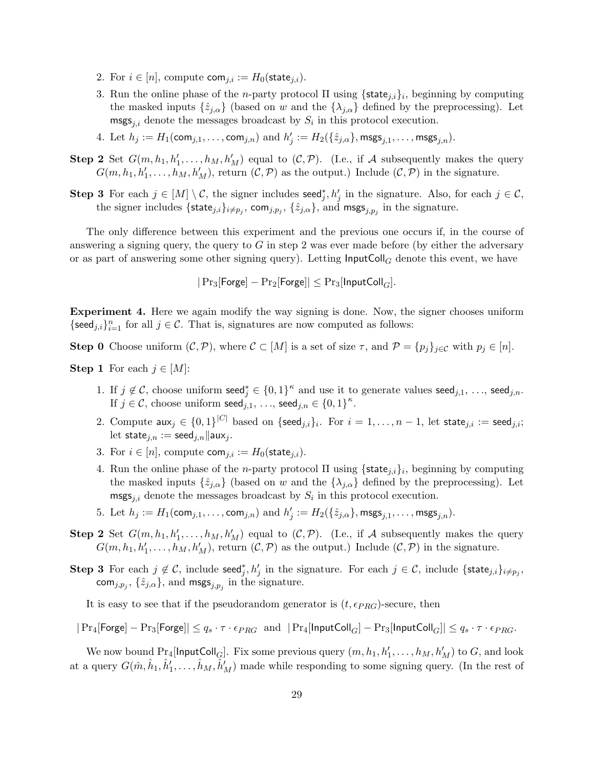- 2. For  $i \in [n]$ , compute com<sub>j,i</sub> :=  $H_0$ (state<sub>j,i</sub>).
- 3. Run the online phase of the *n*-party protocol  $\Pi$  using  $\{\text{state}_{j,i}\}_i$ , beginning by computing the masked inputs  $\{\hat{z}_{j,\alpha}\}\)$  (based on w and the  $\{\lambda_{j,\alpha}\}\$  defined by the preprocessing). Let  $\text{msgs}_{j,i}$  denote the messages broadcast by  $S_i$  in this protocol execution.
- 4. Let  $h_j := H_1(\text{com}_{j,1}, \ldots, \text{com}_{j,n})$  and  $h'_j := H_2(\{\hat{z}_{j,\alpha}\}, \text{msgs}_{j,1}, \ldots, \text{msgs}_{j,n}).$
- **Step 2** Set  $G(m, h_1, h'_1, \ldots, h_M, h'_M)$  equal to  $(C, \mathcal{P})$ . (I.e., if A subsequently makes the query  $G(m, h_1, h'_1, \ldots, h_M, h'_M)$ , return  $(C, \mathcal{P})$  as the output.) Include  $(C, \mathcal{P})$  in the signature.
- **Step 3** For each  $j \in [M] \setminus \mathcal{C}$ , the signer includes seed<sub>j</sub><sup>\*</sup>,  $h'_j$  in the signature. Also, for each  $j \in \mathcal{C}$ , the signer includes  $\{\textsf{state}_{j,i}\}_{i\neq p_j}, \, \textsf{com}_{j,p_j}, \, \{\hat{z}_{j,\alpha}\}, \, \text{and } \textsf{msgs}_{j,p_j}$  in the signature.

The only difference between this experiment and the previous one occurs if, in the course of answering a signing query, the query to  $G$  in step 2 was ever made before (by either the adversary or as part of answering some other signing query). Letting  $\text{InputColl}_G$  denote this event, we have

 $|Pr_3[Forge] - Pr_2[Forge]| \le Pr_3[InputColl_G].$ 

Experiment 4. Here we again modify the way signing is done. Now, the signer chooses uniform  ${\{\mathsf{seed}_{j,i}\}}_{i=1}^n$  for all  $j \in \mathcal{C}$ . That is, signatures are now computed as follows:

**Step 0** Choose uniform  $(C, \mathcal{P})$ , where  $C \subset [M]$  is a set of size  $\tau$ , and  $\mathcal{P} = \{p_j\}_{j \in C}$  with  $p_j \in [n]$ .

**Step 1** For each  $j \in [M]$ :

- 1. If  $j \notin \mathcal{C}$ , choose uniform seed $j \in \{0,1\}^{\kappa}$  and use it to generate values seed<sub>j,1</sub>, ..., seed<sub>j,n</sub>. If  $j \in \mathcal{C}$ , choose uniform seed, i, i, i, seed,  $n \in \{0,1\}^{\kappa}$ .
- 2. Compute  $\textsf{aux}_j \in \{0,1\}^{|C|}$  based on  $\{\textsf{seed}_{j,i}\}_i$ . For  $i = 1, \ldots, n-1,$  let  $\textsf{state}_{j,i} := \textsf{seed}_{j,i};$ let state $i,n := \mathsf{seed}_{j,n}||\mathsf{aux}_j$ .
- 3. For  $i \in [n]$ , compute com $_{i,i} := H_0(\mathsf{state}_{i,i}).$
- 4. Run the online phase of the *n*-party protocol  $\Pi$  using  $\{\text{state}_{j,i}\}_i$ , beginning by computing the masked inputs  $\{\hat{z}_{j,\alpha}\}\$  (based on w and the  $\{\lambda_{j,\alpha}\}\$  defined by the preprocessing). Let  $\text{msgs}_{j,i}$  denote the messages broadcast by  $S_i$  in this protocol execution.
- 5. Let  $h_j := H_1(\text{com}_{j,1}, \ldots, \text{com}_{j,n})$  and  $h'_j := H_2(\{\hat{z}_{j,\alpha}\}, \text{msgs}_{j,1}, \ldots, \text{msgs}_{j,n}).$
- **Step 2** Set  $G(m, h_1, h'_1, \ldots, h_M, h'_M)$  equal to  $(C, \mathcal{P})$ . (I.e., if A subsequently makes the query  $G(m, h_1, h'_1, \ldots, h_M, h'_M)$ , return  $(C, \mathcal{P})$  as the output.) Include  $(C, \mathcal{P})$  in the signature.
- **Step 3** For each  $j \notin \mathcal{C}$ , include seed<sub>j</sub>,  $h'_j$  in the signature. For each  $j \in \mathcal{C}$ , include {state<sub>j,i}i $\neq p_j$ ,</sub>  $\textsf{com}_{j,p_j}, \{\hat{z}_{j,\alpha}\}, \text{ and } \textsf{msgs}_{j,p_j} \text{ in the signature.}$

It is easy to see that if the pseudorandom generator is  $(t, \epsilon_{PRG})$ -secure, then

 $|\Pr_4[\mathsf{Forge}] - \Pr_3[\mathsf{Forge}] \leq q_s \cdot \tau \cdot \epsilon_{PRG}$  and  $|\Pr_4[\mathsf{InputColl}_G] - \Pr_3[\mathsf{InputColl}_G]] \leq q_s \cdot \tau \cdot \epsilon_{PRG}$ .

We now bound  $Pr_4[\text{InputColl}_G]$ . Fix some previous query  $(m, h_1, h'_1, \ldots, h_M, h'_M)$  to  $G$ , and look at a query  $G(\hat{m}, \hat{h}_1, \hat{h}'_1, \dots, \hat{h}_M, \hat{h}'_M)$  made while responding to some signing query. (In the rest of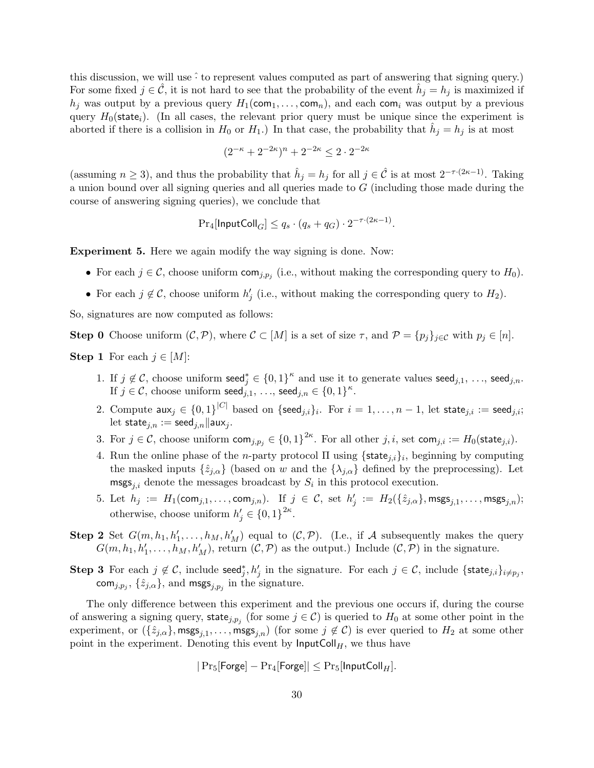this discussion, we will use  $\hat{\cdot}$  to represent values computed as part of answering that signing query.) For some fixed  $j \in \hat{\mathcal{C}}$ , it is not hard to see that the probability of the event  $\hat{h}_j = h_j$  is maximized if  $h_i$  was output by a previous query  $H_1(\text{com}_1, \ldots, \text{com}_n)$ , and each com<sub>i</sub> was output by a previous query  $H_0$ (state<sub>i</sub>). (In all cases, the relevant prior query must be unique since the experiment is aborted if there is a collision in  $H_0$  or  $H_1$ .) In that case, the probability that  $\hat{h}_j = h_j$  is at most

$$
(2^{-\kappa} + 2^{-2\kappa})^n + 2^{-2\kappa} \le 2 \cdot 2^{-2\kappa}
$$

(assuming  $n \ge 3$ ), and thus the probability that  $\hat{h}_j = h_j$  for all  $j \in \hat{\mathcal{C}}$  is at most  $2^{-\tau \cdot (2\kappa - 1)}$ . Taking a union bound over all signing queries and all queries made to G (including those made during the course of answering signing queries), we conclude that

$$
\Pr_4[\mathsf{InputColl}_G] \le q_s \cdot (q_s + q_G) \cdot 2^{-\tau \cdot (2\kappa - 1)}.
$$

Experiment 5. Here we again modify the way signing is done. Now:

- For each  $j \in \mathcal{C}$ , choose uniform  $\text{com}_{j,p_j}$  (i.e., without making the corresponding query to  $H_0$ ).
- For each  $j \notin \mathcal{C}$ , choose uniform  $h'_j$  (i.e., without making the corresponding query to  $H_2$ ).

So, signatures are now computed as follows:

**Step 0** Choose uniform  $(C, \mathcal{P})$ , where  $\mathcal{C} \subset [M]$  is a set of size  $\tau$ , and  $\mathcal{P} = \{p_j\}_{j \in \mathcal{C}}$  with  $p_j \in [n]$ .

**Step 1** For each  $j \in [M]$ :

- 1. If  $j \notin \mathcal{C}$ , choose uniform seed $j \in \{0,1\}^{\kappa}$  and use it to generate values seed<sub>j,1</sub>, ..., seed<sub>j,n</sub>. If  $j \in \mathcal{C}$ , choose uniform seed, i, i, i, seed,  $n \in \{0,1\}^{\kappa}$ .
- 2. Compute  $\textsf{aux}_j \in \{0,1\}^{|C|}$  based on  $\{\textsf{seed}_{j,i}\}_i$ . For  $i = 1, \ldots, n-1$ , let  $\textsf{state}_{j,i} := \textsf{seed}_{j,i};$ let state $_{j,n} := \operatorname{seed}_{j,n}||\operatorname{aux}_j$ .
- 3. For  $j \in \mathcal{C}$ , choose uniform  $\text{com}_{j,p_j} \in \{0,1\}^{2\kappa}$ . For all other  $j, i$ , set  $\text{com}_{j,i} := H_0(\textsf{state}_{j,i})$ .
- 4. Run the online phase of the *n*-party protocol  $\Pi$  using  $\{\text{state}_{j,i}\}_i$ , beginning by computing the masked inputs  $\{\hat{z}_{j,\alpha}\}\)$  (based on w and the  $\{\lambda_{j,\alpha}\}\$  defined by the preprocessing). Let  $\text{msgs}_{j,i}$  denote the messages broadcast by  $S_i$  in this protocol execution.
- 5. Let  $h_j := H_1(\text{com}_{j,1}, \ldots, \text{com}_{j,n})$ . If  $j \in \mathcal{C}$ , set  $h'_j := H_2(\{\hat{z}_{j,\alpha}\}, \text{msgs}_{j,1}, \ldots, \text{msgs}_{j,n})$ ; otherwise, choose uniform  $h'_j \in \{0,1\}^{2\kappa}$ .
- **Step 2** Set  $G(m, h_1, h'_1, \ldots, h_M, h'_M)$  equal to  $(C, \mathcal{P})$ . (I.e., if A subsequently makes the query  $G(m, h_1, h'_1, \ldots, h_M, h'_M)$ , return  $(C, \mathcal{P})$  as the output.) Include  $(C, \mathcal{P})$  in the signature.
- **Step 3** For each  $j \notin C$ , include seed<sub>j</sub>,  $h'_j$  in the signature. For each  $j \in C$ , include {state<sub>j,i}i $\neq p_j$ ,</sub>  $\textsf{com}_{j,p_j}, \{\hat{z}_{j,\alpha}\}, \text{ and } \textsf{msgs}_{j,p_j} \text{ in the signature.}$

The only difference between this experiment and the previous one occurs if, during the course of answering a signing query,  $\text{state}_{j,p_j}$  (for some  $j \in \mathcal{C}$ ) is queried to  $H_0$  at some other point in the experiment, or  $(\{\hat{z}_{j,\alpha}\},\textsf{msgs}_{j,1},\ldots,\textsf{msgs}_{j,n})$  (for some  $j \notin C$ ) is ever queried to  $H_2$  at some other point in the experiment. Denoting this event by  $\mathsf{InputColl}_H$ , we thus have

$$
|\Pr_5[\text{Forge}] - \Pr_4[\text{Forge}]| \leq \Pr_5[\text{InputColl}_H].
$$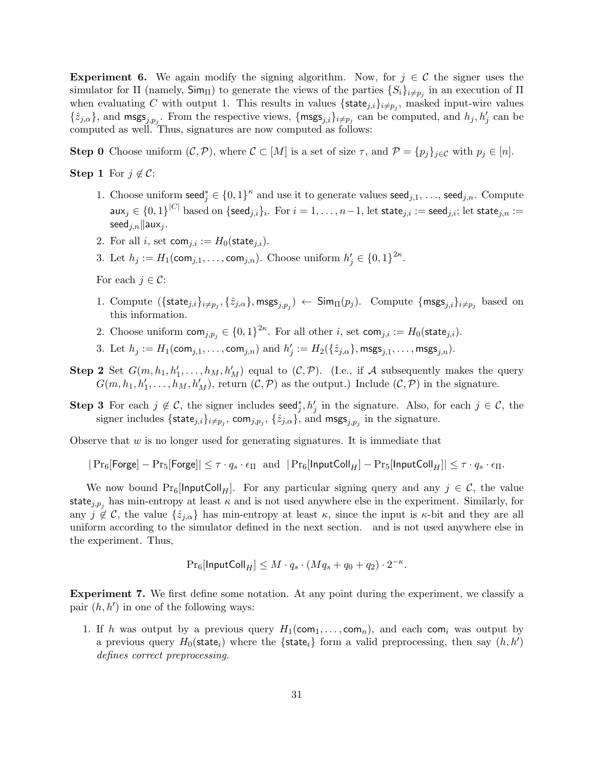**Experiment 6.** We again modify the signing algorithm. Now, for  $j \in \mathcal{C}$  the signer uses the simulator for  $\Pi$  (namely,  $\mathsf{Sim}_{\Pi}$ ) to generate the views of the parties  $\{S_i\}_{i\neq p_j}$  in an execution of  $\Pi$ when evaluating C with output 1. This results in values  $\{\text{state}_{j,i}\}_{i\neq p_j}$ , masked input-wire values  $\{\hat{z}_{j,\alpha}\}\text{, and } \text{msgs}_{j,p_j}$ . From the respective views,  $\{\text{msgs}_{j,i}\}_{i\neq p_j}$  can be computed, and  $h_j, h'_j$  can be computed as well. Thus, signatures are now computed as follows:

**Step 0** Choose uniform  $(C, \mathcal{P})$ , where  $C \subset [M]$  is a set of size  $\tau$ , and  $\mathcal{P} = \{p_j\}_{j \in C}$  with  $p_j \in [n]$ .

Step 1 For  $j \notin \mathcal{C}$ :

- 1. Choose uniform  $\operatorname{seed}_j^* \in \{0,1\}^{\kappa}$  and use it to generate values  $\operatorname{seed}_{j,1}, \ldots$ ,  $\operatorname{seed}_{j,n}$ . Compute  $\mathsf{aux}_j\in\{0,1\}^{|C|}$  based on  $\{\mathsf{seed}_{j,i}\}_i.$   $\text{ For } i=1,\ldots,n-1,$  let  $\mathsf{state}_{j,i}:=\mathsf{seed}_{j,i};$  let  $\mathsf{state}_{j,n}:=\{0,1\}^{|C|}$ seed $_{i,n}$ ||aux $_i$ .
- 2. For all *i*, set  $com_{j,i} := H_0(\text{state}_{j,i}).$
- 3. Let  $h_j := H_1(\text{com}_{j,1}, \dots, \text{com}_{j,n})$ . Choose uniform  $h'_j \in \{0,1\}^{2\kappa}$ .

For each  $j \in \mathcal{C}$ :

- 1. Compute  $(\{\textsf{state}_{j,i}\}_{i\neq p_j}, \{\hat{z}_{j,\alpha}\}, \textsf{msgs}_{j,p_j}) \leftarrow \textsf{Sim}_{\Pi}(p_j)$ . Compute  $\{\textsf{msgs}_{j,i}\}_{i\neq p_j}$  based on this information.
- 2. Choose uniform  $\textsf{com}_{j,p_j} \in \{0,1\}^{2\kappa}$ . For all other i, set  $\textsf{com}_{j,i} := H_0(\textsf{state}_{j,i}).$
- 3. Let  $h_j := H_1(\text{com}_{j,1}, \ldots, \text{com}_{j,n})$  and  $h'_j := H_2(\{\hat{z}_{j,\alpha}\}, \text{msgs}_{j,1}, \ldots, \text{msgs}_{j,n}).$
- **Step 2** Set  $G(m, h_1, h'_1, \ldots, h_M, h'_M)$  equal to  $(C, \mathcal{P})$ . (I.e., if A subsequently makes the query  $G(m, h_1, h'_1, \ldots, h_M, h'_M)$ , return  $(C, \mathcal{P})$  as the output.) Include  $(C, \mathcal{P})$  in the signature.
- **Step 3** For each  $j \notin C$ , the signer includes seed<sup>\*</sup><sub>j</sub>,  $h'_j$  in the signature. Also, for each  $j \in C$ , the signer includes  $\{\textsf{state}_{j,i}\}_{i\neq p_j},\ \textsf{com}_{j,p_j},\ \{\hat{z}_{j,\alpha}\},\ \text{and } \textsf{msgs}_{j,p_j}$  in the signature.

Observe that  $w$  is no longer used for generating signatures. It is immediate that

 $|\Pr_6[\text{Forge}] - \Pr_5[\text{Forge}] \leq \tau \cdot q_s \cdot \epsilon_{\Pi}$  and  $|\Pr_6[\text{InputColl}_H] - \Pr_5[\text{InputColl}_H]] \leq \tau \cdot q_s \cdot \epsilon_{\Pi}$ .

We now bound  $Pr_6$ [InputColl<sub>H</sub>]. For any particular signing query and any  $j \in \mathcal{C}$ , the value state<sub>j,p<sub>i</sub></sub> has min-entropy at least  $\kappa$  and is not used anywhere else in the experiment. Similarly, for any  $j \notin \mathcal{C}$ , the value  $\{\hat{z}_{i,\alpha}\}\$  has min-entropy at least  $\kappa$ , since the input is  $\kappa$ -bit and they are all uniform according to the simulator defined in the next section. and is not used anywhere else in the experiment. Thus,

$$
Pr_6[\mathsf{InputColl}_H] \leq M \cdot q_s \cdot (Mq_s + q_0 + q_2) \cdot 2^{-\kappa}.
$$

Experiment 7. We first define some notation. At any point during the experiment, we classify a pair  $(h, h')$  in one of the following ways:

1. If h was output by a previous query  $H_1$ (com<sub>1</sub>, ..., com<sub>n</sub>), and each com<sub>i</sub> was output by a previous query  $H_0$ (state<sub>i</sub>) where the {state<sub>i</sub>} form a valid preprocessing, then say  $(h, h')$ defines correct preprocessing.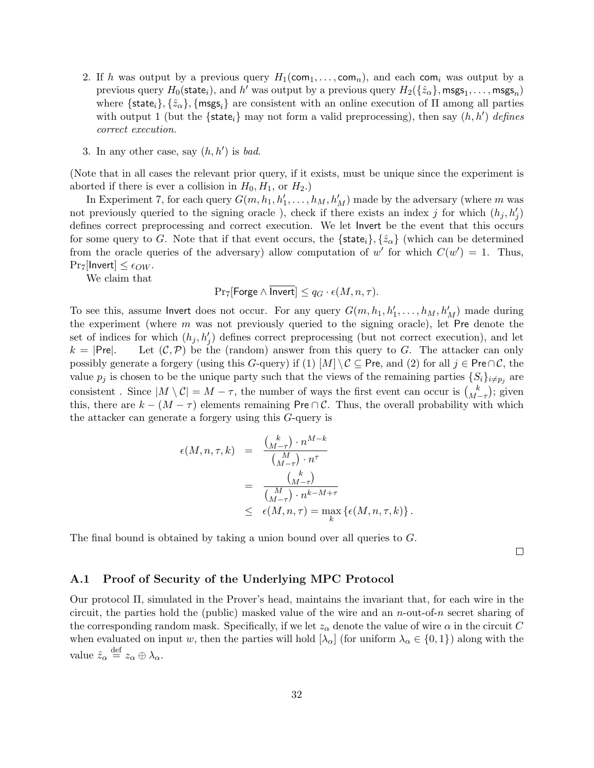- 2. If h was output by a previous query  $H_1(\text{com}_1, \ldots, \text{com}_n)$ , and each com<sub>i</sub> was output by a previous query  $H_0(\text{state}_i)$ , and  $h'$  was output by a previous query  $H_2(\{\hat{z}_\alpha\},\text{msgs}_1,\ldots,\text{msgs}_n)$ where  $\{state_i\}, \{\hat{z}_\alpha\}, \{msgs_i\}$  are consistent with an online execution of  $\Pi$  among all parties with output 1 (but the  $\{\textsf{state}_i\}$  may not form a valid preprocessing), then say  $(h, h')$  defines correct execution.
- 3. In any other case, say  $(h, h')$  is bad.

(Note that in all cases the relevant prior query, if it exists, must be unique since the experiment is aborted if there is ever a collision in  $H_0, H_1$ , or  $H_2$ .)

In Experiment 7, for each query  $G(m, h_1, h'_1, \ldots, h_M, h'_M)$  made by the adversary (where m was not previously queried to the signing oracle), check if there exists an index j for which  $(h_j, h'_j)$ defines correct preprocessing and correct execution. We let Invert be the event that this occurs for some query to G. Note that if that event occurs, the  $\{\text{state}_i\}, \{\hat{z}_\alpha\}$  (which can be determined from the oracle queries of the adversary) allow computation of w' for which  $C(w') = 1$ . Thus,  $\Pr_7$ [Invert]  $\leq \epsilon_{OW}$ .

We claim that

$$
\Pr_7[\mathsf{Forge} \land \mathsf{Invert}] \le q_G \cdot \epsilon(M, n, \tau).
$$

To see this, assume lnvert does not occur. For any query  $G(m, h_1, h'_1, \ldots, h_M, h'_M)$  made during the experiment (where  $m$  was not previously queried to the signing oracle), let Pre denote the set of indices for which  $(h_j, h'_j)$  defines correct preprocessing (but not correct execution), and let  $k = |Pre|$ . Let  $(C, \mathcal{P})$  be the (random) answer from this query to G. The attacker can only possibly generate a forgery (using this G-query) if (1)  $[M] \setminus C \subseteq$  Pre, and (2) for all  $j \in \text{Pre} \cap C$ , the value  $p_j$  is chosen to be the unique party such that the views of the remaining parties  $\{S_i\}_{i\neq p_j}$  are consistent. Since  $|M \setminus C| = M - \tau$ , the number of ways the first event can occur is  $\binom{k}{M}$  $\binom{k}{M-\tau}$ ; given this, there are  $k - (M - \tau)$  elements remaining Pre ∩ C. Thus, the overall probability with which the attacker can generate a forgery using this G-query is

$$
\epsilon(M,n,\tau,k) = \frac{\binom{k}{M-\tau} \cdot n^{M-k}}{\binom{M}{M-\tau} \cdot n^{\tau}}
$$
  
= 
$$
\frac{\binom{k}{M-\tau}}{\binom{M}{M-\tau} \cdot n^{k-M+\tau}}
$$
  
\$\leq \epsilon(M,n,\tau) = \max\_{k} {\epsilon(M,n,\tau,k)} .

The final bound is obtained by taking a union bound over all queries to G.

 $\Box$ 

#### A.1 Proof of Security of the Underlying MPC Protocol

Our protocol Π, simulated in the Prover's head, maintains the invariant that, for each wire in the circuit, the parties hold the (public) masked value of the wire and an n-out-of-n secret sharing of the corresponding random mask. Specifically, if we let  $z_{\alpha}$  denote the value of wire  $\alpha$  in the circuit C when evaluated on input w, then the parties will hold  $[\lambda_{\alpha}]$  (for uniform  $\lambda_{\alpha} \in \{0,1\}$ ) along with the value  $\hat{z}_{\alpha} \stackrel{\text{def}}{=} z_{\alpha} \oplus \lambda_{\alpha}$ .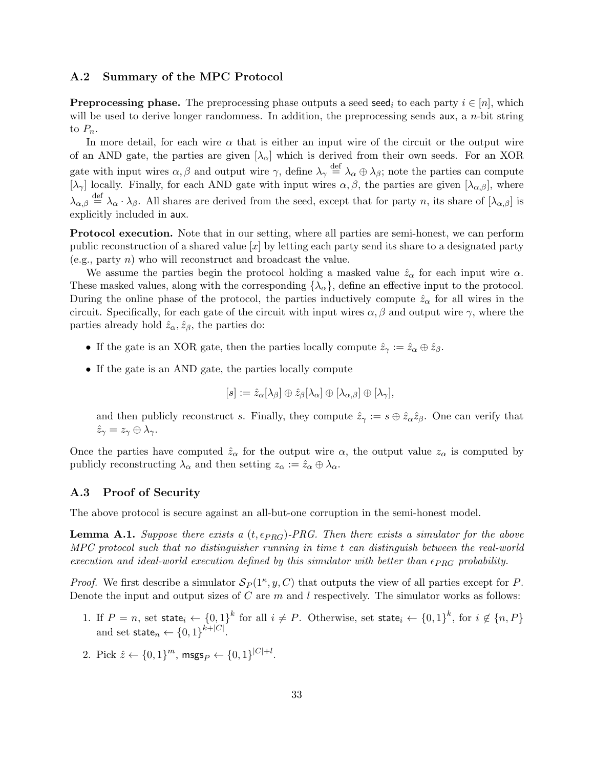#### A.2 Summary of the MPC Protocol

**Preprocessing phase.** The preprocessing phase outputs a seed seed<sub>i</sub> to each party  $i \in [n]$ , which will be used to derive longer randomness. In addition, the preprocessing sends aux, a *n*-bit string to  $P_n$ .

In more detail, for each wire  $\alpha$  that is either an input wire of the circuit or the output wire of an AND gate, the parties are given  $[\lambda_{\alpha}]$  which is derived from their own seeds. For an XOR gate with input wires  $\alpha, \beta$  and output wire  $\gamma$ , define  $\lambda_{\gamma} \stackrel{\text{def}}{=} \lambda_{\alpha} \oplus \lambda_{\beta}$ ; note the parties can compute  $[\lambda_{\gamma}]$  locally. Finally, for each AND gate with input wires  $\alpha, \beta$ , the parties are given  $[\lambda_{\alpha,\beta}]$ , where  $\lambda_{\alpha,\beta} \stackrel{\text{def}}{=} \lambda_{\alpha} \cdot \lambda_{\beta}$ . All shares are derived from the seed, except that for party n, its share of  $[\lambda_{\alpha,\beta}]$  is explicitly included in aux.

Protocol execution. Note that in our setting, where all parties are semi-honest, we can perform public reconstruction of a shared value  $[x]$  by letting each party send its share to a designated party (e.g., party  $n$ ) who will reconstruct and broadcast the value.

We assume the parties begin the protocol holding a masked value  $\hat{z}_{\alpha}$  for each input wire  $\alpha$ . These masked values, along with the corresponding  $\{\lambda_{\alpha}\}\,$ , define an effective input to the protocol. During the online phase of the protocol, the parties inductively compute  $\hat{z}_{\alpha}$  for all wires in the circuit. Specifically, for each gate of the circuit with input wires  $\alpha, \beta$  and output wire  $\gamma$ , where the parties already hold  $\hat{z}_{\alpha}, \hat{z}_{\beta}$ , the parties do:

- If the gate is an XOR gate, then the parties locally compute  $\hat{z}_{\gamma} := \hat{z}_{\alpha} \oplus \hat{z}_{\beta}$ .
- If the gate is an AND gate, the parties locally compute

$$
[s] := \hat{z}_{\alpha}[\lambda_{\beta}] \oplus \hat{z}_{\beta}[\lambda_{\alpha}] \oplus [\lambda_{\alpha,\beta}] \oplus [\lambda_{\gamma}],
$$

and then publicly reconstruct s. Finally, they compute  $\hat{z}_{\gamma} := s \oplus \hat{z}_{\alpha} \hat{z}_{\beta}$ . One can verify that  $\hat{z}_{\gamma} = z_{\gamma} \oplus \lambda_{\gamma}.$ 

Once the parties have computed  $\hat{z}_{\alpha}$  for the output wire  $\alpha$ , the output value  $z_{\alpha}$  is computed by publicly reconstructing  $\lambda_{\alpha}$  and then setting  $z_{\alpha} := \hat{z}_{\alpha} \oplus \lambda_{\alpha}$ .

#### A.3 Proof of Security

The above protocol is secure against an all-but-one corruption in the semi-honest model.

**Lemma A.1.** Suppose there exists a  $(t, \epsilon_{PRG})$ -PRG. Then there exists a simulator for the above MPC protocol such that no distinguisher running in time t can distinguish between the real-world execution and ideal-world execution defined by this simulator with better than  $\epsilon_{PRG}$  probability.

*Proof.* We first describe a simulator  $S_P(1^{\kappa}, y, C)$  that outputs the view of all parties except for P. Denote the input and output sizes of  $C$  are  $m$  and  $l$  respectively. The simulator works as follows:

- 1. If  $P = n$ , set state<sub>i</sub>  $\leftarrow \{0,1\}^k$  for all  $i \neq P$ . Otherwise, set state<sub>i</sub>  $\leftarrow \{0,1\}^k$ , for  $i \notin \{n, P\}$ and set  $\mathsf{state}_n \leftarrow \{0,1\}^{k+|C|}.$
- 2. Pick  $\hat{z} \leftarrow \{0, 1\}^m$ , msgs $_P \leftarrow \{0, 1\}^{|C| + l}$ .